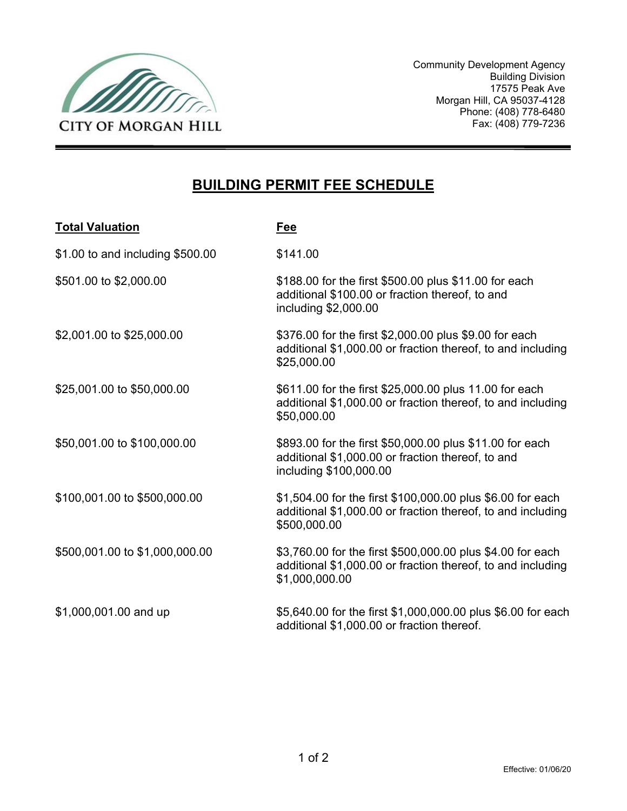

Community Development Agency Building Division 17575 Peak Ave Morgan Hill, CA 95037-4128 Phone: (408) 778-6480 Fax: (408) 779-7236

#### **BUILDING PERMIT FEE SCHEDULE**

| <b>Total Valuation</b>           | Fee                                                                                                                                         |
|----------------------------------|---------------------------------------------------------------------------------------------------------------------------------------------|
| \$1.00 to and including \$500.00 | \$141.00                                                                                                                                    |
| \$501.00 to \$2,000.00           | \$188.00 for the first \$500.00 plus \$11.00 for each<br>additional \$100.00 or fraction thereof, to and<br>including \$2,000.00            |
| \$2,001.00 to \$25,000.00        | \$376.00 for the first \$2,000.00 plus \$9.00 for each<br>additional \$1,000.00 or fraction thereof, to and including<br>\$25,000.00        |
| \$25,001.00 to \$50,000.00       | \$611.00 for the first \$25,000.00 plus 11.00 for each<br>additional \$1,000.00 or fraction thereof, to and including<br>\$50,000.00        |
| \$50,001.00 to \$100,000.00      | \$893.00 for the first \$50,000.00 plus \$11.00 for each<br>additional \$1,000.00 or fraction thereof, to and<br>including \$100,000.00     |
| \$100,001.00 to \$500,000.00     | \$1,504.00 for the first \$100,000.00 plus \$6.00 for each<br>additional \$1,000.00 or fraction thereof, to and including<br>\$500,000.00   |
| \$500,001.00 to \$1,000,000.00   | \$3,760.00 for the first \$500,000.00 plus \$4.00 for each<br>additional \$1,000.00 or fraction thereof, to and including<br>\$1,000,000.00 |
| \$1,000,001.00 and up            | \$5,640.00 for the first \$1,000,000.00 plus \$6.00 for each<br>additional \$1,000.00 or fraction thereof.                                  |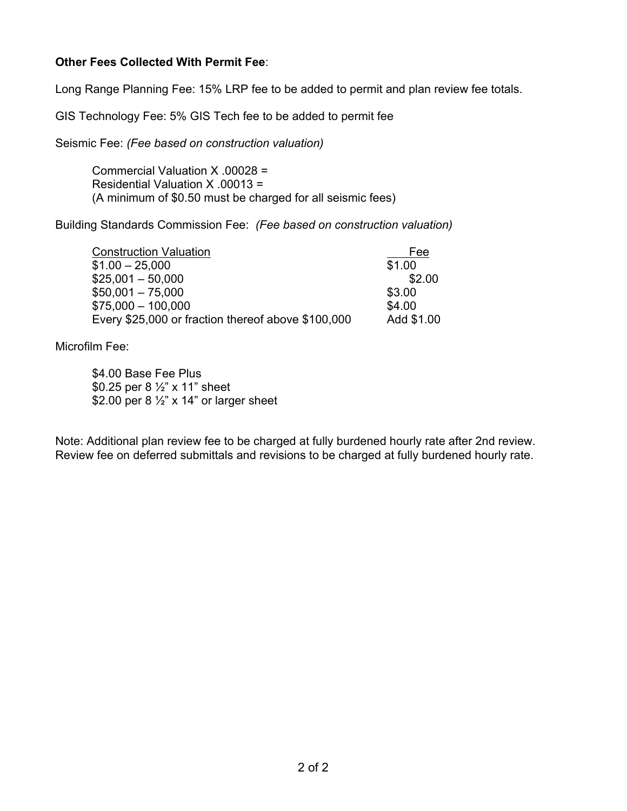#### **Other Fees Collected With Permit Fee**:

Long Range Planning Fee: 15% LRP fee to be added to permit and plan review fee totals.

GIS Technology Fee: 5% GIS Tech fee to be added to permit fee

Seismic Fee: *(Fee based on construction valuation)*

Commercial Valuation X .00028 = Residential Valuation X .00013 = (A minimum of \$0.50 must be charged for all seismic fees)

Building Standards Commission Fee: *(Fee based on construction valuation)*

| <b>Construction Valuation</b>                      | Fee        |
|----------------------------------------------------|------------|
| $$1.00 - 25.000$                                   | \$1.00     |
| $$25,001 - 50,000$                                 | \$2.00     |
| $$50,001 - 75,000$                                 | \$3.00     |
| $$75,000 - 100,000$                                | \$4.00     |
| Every \$25,000 or fraction thereof above \$100,000 | Add \$1.00 |

Microfilm Fee:

\$4.00 Base Fee Plus \$0.25 per 8 ½" x 11" sheet \$2.00 per 8 1/2" x 14" or larger sheet

Note: Additional plan review fee to be charged at fully burdened hourly rate after 2nd review. Review fee on deferred submittals and revisions to be charged at fully burdened hourly rate.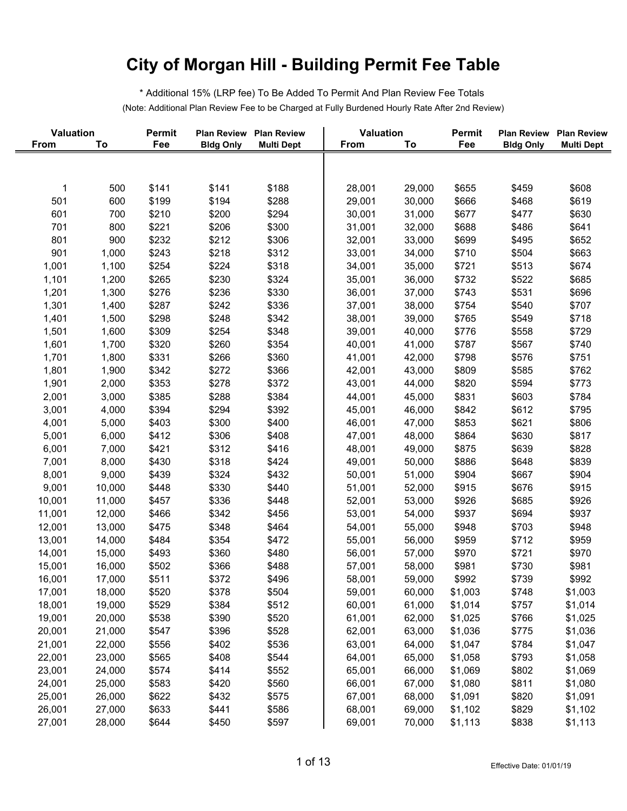\* Additional 15% (LRP fee) To Be Added To Permit And Plan Review Fee Totals (Note: Additional Plan Review Fee to be Charged at Fully Burdened Hourly Rate After 2nd Review)

| <b>Valuation</b> |        | <b>Permit</b> | <b>Plan Review</b> | <b>Plan Review</b> | Valuation |        | Permit  | <b>Plan Review</b> | <b>Plan Review</b> |
|------------------|--------|---------------|--------------------|--------------------|-----------|--------|---------|--------------------|--------------------|
| From             | To     | Fee           | <b>Bldg Only</b>   | <b>Multi Dept</b>  | From      | To     | Fee     | <b>Bldg Only</b>   | <b>Multi Dept</b>  |
|                  |        |               |                    |                    |           |        |         |                    |                    |
|                  |        |               |                    |                    |           |        |         |                    |                    |
| 1                | 500    | \$141         | \$141              | \$188              | 28,001    | 29,000 | \$655   | \$459              | \$608              |
| 501              | 600    | \$199         | \$194              | \$288              | 29,001    | 30,000 | \$666   | \$468              | \$619              |
| 601              | 700    | \$210         | \$200              | \$294              | 30,001    | 31,000 | \$677   | \$477              | \$630              |
| 701              | 800    | \$221         | \$206              | \$300              | 31,001    | 32,000 | \$688   | \$486              | \$641              |
| 801              | 900    | \$232         | \$212              | \$306              | 32,001    | 33,000 | \$699   | \$495              | \$652              |
| 901              | 1,000  | \$243         | \$218              | \$312              | 33,001    | 34,000 | \$710   | \$504              | \$663              |
| 1,001            | 1,100  | \$254         | \$224              | \$318              | 34,001    | 35,000 | \$721   | \$513              | \$674              |
| 1,101            | 1,200  | \$265         | \$230              | \$324              | 35,001    | 36,000 | \$732   | \$522              | \$685              |
| 1,201            | 1,300  | \$276         | \$236              | \$330              | 36,001    | 37,000 | \$743   | \$531              | \$696              |
| 1,301            | 1,400  | \$287         | \$242              | \$336              | 37,001    | 38,000 | \$754   | \$540              | \$707              |
| 1,401            | 1,500  | \$298         | \$248              | \$342              | 38,001    | 39,000 | \$765   | \$549              | \$718              |
| 1,501            | 1,600  | \$309         | \$254              | \$348              | 39,001    | 40,000 | \$776   | \$558              | \$729              |
| 1,601            | 1,700  | \$320         | \$260              | \$354              | 40,001    | 41,000 | \$787   | \$567              | \$740              |
| 1,701            | 1,800  | \$331         | \$266              | \$360              | 41,001    | 42,000 | \$798   | \$576              | \$751              |
| 1,801            | 1,900  | \$342         | \$272              | \$366              | 42,001    | 43,000 | \$809   | \$585              | \$762              |
| 1,901            | 2,000  | \$353         | \$278              | \$372              | 43,001    | 44,000 | \$820   | \$594              | \$773              |
| 2,001            | 3,000  | \$385         | \$288              | \$384              | 44,001    | 45,000 | \$831   | \$603              | \$784              |
| 3,001            | 4,000  | \$394         | \$294              | \$392              | 45,001    | 46,000 | \$842   | \$612              | \$795              |
| 4,001            | 5,000  | \$403         | \$300              | \$400              | 46,001    | 47,000 | \$853   | \$621              | \$806              |
| 5,001            | 6,000  | \$412         | \$306              | \$408              | 47,001    | 48,000 | \$864   | \$630              | \$817              |
|                  |        | \$421         |                    | \$416              |           |        | \$875   |                    | \$828              |
| 6,001            | 7,000  |               | \$312              |                    | 48,001    | 49,000 |         | \$639              |                    |
| 7,001            | 8,000  | \$430         | \$318              | \$424              | 49,001    | 50,000 | \$886   | \$648              | \$839              |
| 8,001            | 9,000  | \$439         | \$324              | \$432              | 50,001    | 51,000 | \$904   | \$667              | \$904              |
| 9,001            | 10,000 | \$448         | \$330              | \$440              | 51,001    | 52,000 | \$915   | \$676              | \$915              |
| 10,001           | 11,000 | \$457         | \$336              | \$448              | 52,001    | 53,000 | \$926   | \$685              | \$926              |
| 11,001           | 12,000 | \$466         | \$342              | \$456              | 53,001    | 54,000 | \$937   | \$694              | \$937              |
| 12,001           | 13,000 | \$475         | \$348              | \$464              | 54,001    | 55,000 | \$948   | \$703              | \$948              |
| 13,001           | 14,000 | \$484         | \$354              | \$472              | 55,001    | 56,000 | \$959   | \$712              | \$959              |
| 14,001           | 15,000 | \$493         | \$360              | \$480              | 56,001    | 57,000 | \$970   | \$721              | \$970              |
| 15,001           | 16,000 | \$502         | \$366              | \$488              | 57,001    | 58,000 | \$981   | \$730              | \$981              |
| 16,001           | 17,000 | \$511         | \$372              | \$496              | 58,001    | 59,000 | \$992   | \$739              | \$992              |
| 17,001           | 18,000 | \$520         | \$378              | \$504              | 59,001    | 60,000 | \$1,003 | \$748              | \$1,003            |
| 18,001           | 19,000 | \$529         | \$384              | \$512              | 60,001    | 61,000 | \$1,014 | \$757              | \$1,014            |
| 19,001           | 20,000 | \$538         | \$390              | \$520              | 61,001    | 62,000 | \$1,025 | \$766              | \$1,025            |
| 20,001           | 21,000 | \$547         | \$396              | \$528              | 62,001    | 63,000 | \$1,036 | \$775              | \$1,036            |
| 21,001           | 22,000 | \$556         | \$402              | \$536              | 63,001    | 64,000 | \$1,047 | \$784              | \$1,047            |
| 22,001           | 23,000 | \$565         | \$408              | \$544              | 64,001    | 65,000 | \$1,058 | \$793              | \$1,058            |
| 23,001           | 24,000 | \$574         | \$414              | \$552              | 65,001    | 66,000 | \$1,069 | \$802              | \$1,069            |
| 24,001           | 25,000 | \$583         | \$420              | \$560              | 66,001    | 67,000 | \$1,080 | \$811              | \$1,080            |
| 25,001           | 26,000 | \$622         | \$432              | \$575              | 67,001    | 68,000 | \$1,091 | \$820              | \$1,091            |
| 26,001           | 27,000 | \$633         | \$441              | \$586              | 68,001    | 69,000 | \$1,102 | \$829              | \$1,102            |
| 27,001           | 28,000 | \$644         | \$450              | \$597              | 69,001    | 70,000 | \$1,113 | \$838              | \$1,113            |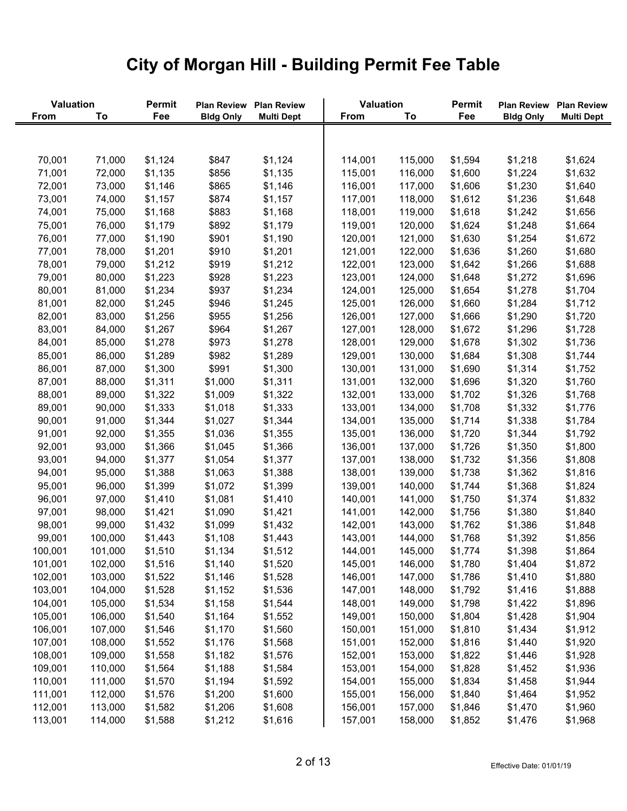| <b>Valuation</b> |         | Permit  | <b>Plan Review</b> | <b>Plan Review</b> | Valuation   |         | Permit  | <b>Plan Review</b> | <b>Plan Review</b> |
|------------------|---------|---------|--------------------|--------------------|-------------|---------|---------|--------------------|--------------------|
| <b>From</b>      | To      | Fee     | <b>Bldg Only</b>   | <b>Multi Dept</b>  | <b>From</b> | To      | Fee     | <b>Bldg Only</b>   | <b>Multi Dept</b>  |
|                  |         |         |                    |                    |             |         |         |                    |                    |
|                  |         |         |                    |                    |             |         |         |                    |                    |
| 70,001           | 71,000  | \$1,124 | \$847              | \$1,124            | 114,001     | 115,000 | \$1,594 | \$1,218            | \$1,624            |
| 71,001           | 72,000  | \$1,135 | \$856              | \$1,135            | 115,001     | 116,000 | \$1,600 | \$1,224            | \$1,632            |
| 72,001           | 73,000  | \$1,146 | \$865              | \$1,146            | 116,001     | 117,000 | \$1,606 | \$1,230            | \$1,640            |
| 73,001           | 74,000  | \$1,157 | \$874              | \$1,157            | 117,001     | 118,000 | \$1,612 | \$1,236            | \$1,648            |
| 74,001           | 75,000  | \$1,168 | \$883              | \$1,168            | 118,001     | 119,000 | \$1,618 | \$1,242            | \$1,656            |
| 75,001           | 76,000  | \$1,179 | \$892              | \$1,179            | 119,001     | 120,000 | \$1,624 | \$1,248            | \$1,664            |
| 76,001           | 77,000  | \$1,190 | \$901              | \$1,190            | 120,001     | 121,000 | \$1,630 | \$1,254            | \$1,672            |
| 77,001           | 78,000  | \$1,201 | \$910              | \$1,201            | 121,001     | 122,000 | \$1,636 | \$1,260            | \$1,680            |
| 78,001           | 79,000  | \$1,212 | \$919              | \$1,212            | 122,001     | 123,000 | \$1,642 | \$1,266            | \$1,688            |
| 79,001           | 80,000  | \$1,223 | \$928              | \$1,223            | 123,001     | 124,000 | \$1,648 | \$1,272            | \$1,696            |
| 80,001           | 81,000  | \$1,234 | \$937              | \$1,234            | 124,001     | 125,000 | \$1,654 | \$1,278            | \$1,704            |
| 81,001           | 82,000  | \$1,245 | \$946              | \$1,245            | 125,001     | 126,000 | \$1,660 | \$1,284            | \$1,712            |
| 82,001           | 83,000  | \$1,256 | \$955              | \$1,256            | 126,001     | 127,000 | \$1,666 | \$1,290            | \$1,720            |
| 83,001           | 84,000  | \$1,267 | \$964              | \$1,267            | 127,001     | 128,000 | \$1,672 | \$1,296            | \$1,728            |
| 84,001           | 85,000  | \$1,278 | \$973              | \$1,278            | 128,001     | 129,000 | \$1,678 | \$1,302            | \$1,736            |
| 85,001           | 86,000  | \$1,289 | \$982              | \$1,289            | 129,001     | 130,000 | \$1,684 | \$1,308            | \$1,744            |
| 86,001           | 87,000  | \$1,300 | \$991              | \$1,300            | 130,001     | 131,000 | \$1,690 | \$1,314            | \$1,752            |
| 87,001           | 88,000  | \$1,311 | \$1,000            | \$1,311            | 131,001     | 132,000 | \$1,696 | \$1,320            | \$1,760            |
| 88,001           | 89,000  | \$1,322 | \$1,009            | \$1,322            | 132,001     | 133,000 | \$1,702 | \$1,326            | \$1,768            |
| 89,001           | 90,000  | \$1,333 | \$1,018            | \$1,333            | 133,001     | 134,000 | \$1,708 | \$1,332            | \$1,776            |
| 90,001           | 91,000  | \$1,344 | \$1,027            | \$1,344            | 134,001     | 135,000 | \$1,714 | \$1,338            | \$1,784            |
| 91,001           | 92,000  | \$1,355 | \$1,036            | \$1,355            | 135,001     | 136,000 | \$1,720 | \$1,344            | \$1,792            |
|                  |         |         |                    |                    | 136,001     | 137,000 | \$1,726 |                    |                    |
| 92,001           | 93,000  | \$1,366 | \$1,045            | \$1,366            |             |         |         | \$1,350            | \$1,800            |
| 93,001           | 94,000  | \$1,377 | \$1,054            | \$1,377            | 137,001     | 138,000 | \$1,732 | \$1,356            | \$1,808            |
| 94,001           | 95,000  | \$1,388 | \$1,063            | \$1,388            | 138,001     | 139,000 | \$1,738 | \$1,362            | \$1,816            |
| 95,001           | 96,000  | \$1,399 | \$1,072            | \$1,399            | 139,001     | 140,000 | \$1,744 | \$1,368            | \$1,824            |
| 96,001           | 97,000  | \$1,410 | \$1,081            | \$1,410            | 140,001     | 141,000 | \$1,750 | \$1,374            | \$1,832            |
| 97,001           | 98,000  | \$1,421 | \$1,090            | \$1,421            | 141,001     | 142,000 | \$1,756 | \$1,380            | \$1,840            |
| 98,001           | 99,000  | \$1,432 | \$1,099            | \$1,432            | 142,001     | 143,000 | \$1,762 | \$1,386            | \$1,848            |
| 99,001           | 100,000 | \$1,443 | \$1,108            | \$1,443            | 143,001     | 144,000 | \$1,768 | \$1,392            | \$1,856            |
| 100,001          | 101,000 | \$1,510 | \$1,134            | \$1,512            | 144,001     | 145,000 | \$1,774 | \$1,398            | \$1,864            |
| 101,001          | 102,000 | \$1,516 | \$1,140            | \$1,520            | 145,001     | 146,000 | \$1,780 | \$1,404            | \$1,872            |
| 102,001          | 103,000 | \$1,522 | \$1,146            | \$1,528            | 146,001     | 147,000 | \$1,786 | \$1,410            | \$1,880            |
| 103,001          | 104,000 | \$1,528 | \$1,152            | \$1,536            | 147,001     | 148,000 | \$1,792 | \$1,416            | \$1,888            |
| 104,001          | 105,000 | \$1,534 | \$1,158            | \$1,544            | 148,001     | 149,000 | \$1,798 | \$1,422            | \$1,896            |
| 105,001          | 106,000 | \$1,540 | \$1,164            | \$1,552            | 149,001     | 150,000 | \$1,804 | \$1,428            | \$1,904            |
| 106,001          | 107,000 | \$1,546 | \$1,170            | \$1,560            | 150,001     | 151,000 | \$1,810 | \$1,434            | \$1,912            |
| 107,001          | 108,000 | \$1,552 | \$1,176            | \$1,568            | 151,001     | 152,000 | \$1,816 | \$1,440            | \$1,920            |
| 108,001          | 109,000 | \$1,558 | \$1,182            | \$1,576            | 152,001     | 153,000 | \$1,822 | \$1,446            | \$1,928            |
| 109,001          | 110,000 | \$1,564 | \$1,188            | \$1,584            | 153,001     | 154,000 | \$1,828 | \$1,452            | \$1,936            |
| 110,001          | 111,000 | \$1,570 | \$1,194            | \$1,592            | 154,001     | 155,000 | \$1,834 | \$1,458            | \$1,944            |
| 111,001          | 112,000 | \$1,576 | \$1,200            | \$1,600            | 155,001     | 156,000 | \$1,840 | \$1,464            | \$1,952            |
| 112,001          | 113,000 | \$1,582 | \$1,206            | \$1,608            | 156,001     | 157,000 | \$1,846 | \$1,470            | \$1,960            |
| 113,001          | 114,000 | \$1,588 | \$1,212            | \$1,616            | 157,001     | 158,000 | \$1,852 | \$1,476            | \$1,968            |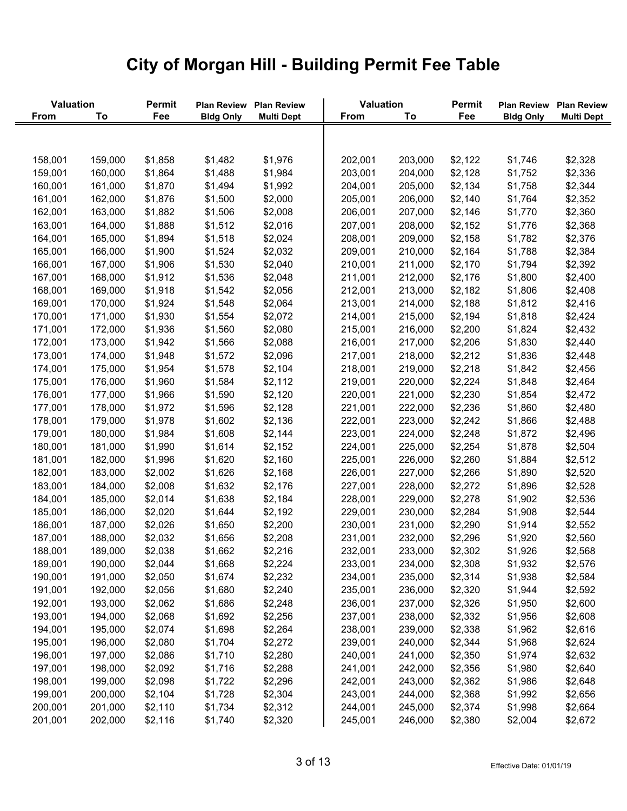| Valuation |         | Permit  | <b>Plan Review</b> | <b>Plan Review</b> | Valuation   |         | <b>Permit</b> | <b>Plan Review</b> | <b>Plan Review</b> |
|-----------|---------|---------|--------------------|--------------------|-------------|---------|---------------|--------------------|--------------------|
| From      | To      | Fee     | <b>Bldg Only</b>   | <b>Multi Dept</b>  | <b>From</b> | To      | Fee           | <b>Bldg Only</b>   | <b>Multi Dept</b>  |
|           |         |         |                    |                    |             |         |               |                    |                    |
|           |         |         |                    |                    |             |         |               |                    |                    |
| 158,001   | 159,000 | \$1,858 | \$1,482            | \$1,976            | 202,001     | 203,000 | \$2,122       | \$1,746            | \$2,328            |
| 159,001   | 160,000 | \$1,864 | \$1,488            | \$1,984            | 203,001     | 204,000 | \$2,128       | \$1,752            | \$2,336            |
| 160,001   | 161,000 | \$1,870 | \$1,494            | \$1,992            | 204,001     | 205,000 | \$2,134       | \$1,758            | \$2,344            |
| 161,001   | 162,000 | \$1,876 | \$1,500            | \$2,000            | 205,001     | 206,000 | \$2,140       | \$1,764            | \$2,352            |
| 162,001   | 163,000 | \$1,882 | \$1,506            | \$2,008            | 206,001     | 207,000 | \$2,146       | \$1,770            | \$2,360            |
| 163,001   | 164,000 | \$1,888 | \$1,512            | \$2,016            | 207,001     | 208,000 | \$2,152       | \$1,776            | \$2,368            |
| 164,001   | 165,000 | \$1,894 | \$1,518            | \$2,024            | 208,001     | 209,000 | \$2,158       | \$1,782            | \$2,376            |
| 165,001   | 166,000 | \$1,900 | \$1,524            | \$2,032            | 209,001     | 210,000 | \$2,164       | \$1,788            | \$2,384            |
| 166,001   | 167,000 | \$1,906 | \$1,530            | \$2,040            | 210,001     | 211,000 | \$2,170       | \$1,794            | \$2,392            |
| 167,001   | 168,000 | \$1,912 | \$1,536            | \$2,048            | 211,001     | 212,000 | \$2,176       | \$1,800            | \$2,400            |
| 168,001   | 169,000 | \$1,918 | \$1,542            | \$2,056            | 212,001     | 213,000 | \$2,182       | \$1,806            | \$2,408            |
| 169,001   | 170,000 | \$1,924 | \$1,548            | \$2,064            | 213,001     | 214,000 | \$2,188       | \$1,812            | \$2,416            |
| 170,001   | 171,000 | \$1,930 | \$1,554            | \$2,072            | 214,001     | 215,000 | \$2,194       | \$1,818            | \$2,424            |
| 171,001   | 172,000 | \$1,936 | \$1,560            | \$2,080            | 215,001     | 216,000 | \$2,200       | \$1,824            | \$2,432            |
| 172,001   | 173,000 | \$1,942 | \$1,566            | \$2,088            | 216,001     | 217,000 | \$2,206       | \$1,830            | \$2,440            |
| 173,001   | 174,000 | \$1,948 | \$1,572            | \$2,096            | 217,001     | 218,000 | \$2,212       | \$1,836            | \$2,448            |
| 174,001   | 175,000 | \$1,954 | \$1,578            | \$2,104            | 218,001     | 219,000 | \$2,218       | \$1,842            | \$2,456            |
| 175,001   | 176,000 | \$1,960 | \$1,584            | \$2,112            | 219,001     | 220,000 | \$2,224       | \$1,848            | \$2,464            |
| 176,001   | 177,000 | \$1,966 | \$1,590            | \$2,120            | 220,001     | 221,000 | \$2,230       | \$1,854            | \$2,472            |
| 177,001   | 178,000 | \$1,972 | \$1,596            | \$2,128            | 221,001     | 222,000 | \$2,236       | \$1,860            | \$2,480            |
| 178,001   | 179,000 | \$1,978 | \$1,602            | \$2,136            | 222,001     | 223,000 | \$2,242       | \$1,866            | \$2,488            |
| 179,001   | 180,000 | \$1,984 | \$1,608            | \$2,144            | 223,001     | 224,000 | \$2,248       | \$1,872            | \$2,496            |
| 180,001   | 181,000 | \$1,990 | \$1,614            | \$2,152            | 224,001     | 225,000 | \$2,254       | \$1,878            | \$2,504            |
| 181,001   | 182,000 | \$1,996 | \$1,620            | \$2,160            | 225,001     | 226,000 | \$2,260       | \$1,884            | \$2,512            |
| 182,001   | 183,000 | \$2,002 | \$1,626            | \$2,168            | 226,001     | 227,000 | \$2,266       | \$1,890            | \$2,520            |
| 183,001   | 184,000 | \$2,008 | \$1,632            | \$2,176            | 227,001     | 228,000 | \$2,272       | \$1,896            | \$2,528            |
| 184,001   | 185,000 | \$2,014 | \$1,638            | \$2,184            | 228,001     | 229,000 | \$2,278       | \$1,902            | \$2,536            |
| 185,001   | 186,000 | \$2,020 | \$1,644            | \$2,192            | 229,001     | 230,000 | \$2,284       | \$1,908            | \$2,544            |
| 186,001   | 187,000 | \$2,026 | \$1,650            | \$2,200            | 230,001     | 231,000 | \$2,290       | \$1,914            | \$2,552            |
| 187,001   | 188,000 | \$2,032 | \$1,656            | \$2,208            | 231,001     | 232,000 | \$2,296       | \$1,920            | \$2,560            |
| 188,001   | 189,000 | \$2,038 | \$1,662            | \$2,216            | 232,001     | 233,000 | \$2,302       | \$1,926            | \$2,568            |
| 189,001   | 190,000 | \$2,044 | \$1,668            | \$2,224            | 233,001     | 234,000 | \$2,308       | \$1,932            | \$2,576            |
| 190,001   | 191,000 | \$2,050 | \$1,674            | \$2,232            | 234,001     | 235,000 | \$2,314       | \$1,938            | \$2,584            |
| 191,001   | 192,000 | \$2,056 | \$1,680            | \$2,240            | 235,001     | 236,000 | \$2,320       | \$1,944            | \$2,592            |
| 192,001   | 193,000 | \$2,062 | \$1,686            | \$2,248            | 236,001     | 237,000 | \$2,326       | \$1,950            | \$2,600            |
| 193,001   | 194,000 | \$2,068 | \$1,692            | \$2,256            | 237,001     | 238,000 | \$2,332       | \$1,956            | \$2,608            |
| 194,001   | 195,000 | \$2,074 | \$1,698            | \$2,264            | 238,001     | 239,000 | \$2,338       | \$1,962            | \$2,616            |
| 195,001   | 196,000 | \$2,080 | \$1,704            | \$2,272            | 239,001     | 240,000 | \$2,344       | \$1,968            | \$2,624            |
| 196,001   | 197,000 | \$2,086 | \$1,710            | \$2,280            | 240,001     | 241,000 | \$2,350       | \$1,974            | \$2,632            |
| 197,001   | 198,000 | \$2,092 | \$1,716            | \$2,288            | 241,001     | 242,000 | \$2,356       | \$1,980            | \$2,640            |
| 198,001   | 199,000 | \$2,098 | \$1,722            | \$2,296            | 242,001     | 243,000 | \$2,362       | \$1,986            | \$2,648            |
| 199,001   | 200,000 | \$2,104 | \$1,728            | \$2,304            | 243,001     | 244,000 | \$2,368       | \$1,992            | \$2,656            |
| 200,001   | 201,000 | \$2,110 | \$1,734            | \$2,312            | 244,001     | 245,000 | \$2,374       | \$1,998            | \$2,664            |
| 201,001   | 202,000 | \$2,116 | \$1,740            | \$2,320            | 245,001     | 246,000 | \$2,380       | \$2,004            | \$2,672            |
|           |         |         |                    |                    |             |         |               |                    |                    |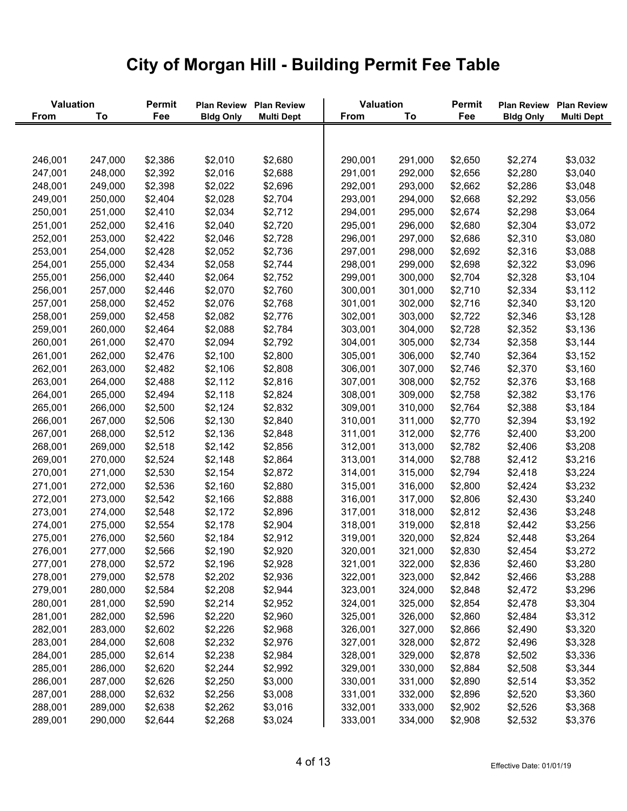| Valuation   |         | Permit  | <b>Plan Review</b> | <b>Plan Review</b> | Valuation   |         | <b>Permit</b> | <b>Plan Review</b> | <b>Plan Review</b> |
|-------------|---------|---------|--------------------|--------------------|-------------|---------|---------------|--------------------|--------------------|
| <b>From</b> | To      | Fee     | <b>Bldg Only</b>   | <b>Multi Dept</b>  | <b>From</b> | To      | Fee           | <b>Bldg Only</b>   | <b>Multi Dept</b>  |
|             |         |         |                    |                    |             |         |               |                    |                    |
|             |         |         |                    |                    |             |         |               |                    |                    |
| 246,001     | 247,000 | \$2,386 | \$2,010            | \$2,680            | 290,001     | 291,000 | \$2,650       | \$2,274            | \$3,032            |
| 247,001     | 248,000 | \$2,392 | \$2,016            | \$2,688            | 291,001     | 292,000 | \$2,656       | \$2,280            | \$3,040            |
| 248,001     | 249,000 | \$2,398 | \$2,022            | \$2,696            | 292,001     | 293,000 | \$2,662       | \$2,286            | \$3,048            |
| 249,001     | 250,000 | \$2,404 | \$2,028            | \$2,704            | 293,001     | 294,000 | \$2,668       | \$2,292            | \$3,056            |
| 250,001     | 251,000 | \$2,410 | \$2,034            | \$2,712            | 294,001     | 295,000 | \$2,674       | \$2,298            | \$3,064            |
| 251,001     | 252,000 | \$2,416 | \$2,040            | \$2,720            | 295,001     | 296,000 | \$2,680       | \$2,304            | \$3,072            |
| 252,001     | 253,000 | \$2,422 | \$2,046            | \$2,728            | 296,001     | 297,000 | \$2,686       | \$2,310            | \$3,080            |
| 253,001     | 254,000 | \$2,428 | \$2,052            | \$2,736            | 297,001     | 298,000 | \$2,692       | \$2,316            | \$3,088            |
| 254,001     | 255,000 | \$2,434 | \$2,058            | \$2,744            | 298,001     | 299,000 | \$2,698       | \$2,322            | \$3,096            |
| 255,001     | 256,000 | \$2,440 | \$2,064            | \$2,752            | 299,001     | 300,000 | \$2,704       | \$2,328            | \$3,104            |
| 256,001     | 257,000 | \$2,446 | \$2,070            | \$2,760            | 300,001     | 301,000 | \$2,710       | \$2,334            | \$3,112            |
| 257,001     | 258,000 | \$2,452 | \$2,076            | \$2,768            | 301,001     | 302,000 | \$2,716       | \$2,340            | \$3,120            |
| 258,001     | 259,000 | \$2,458 | \$2,082            | \$2,776            | 302,001     | 303,000 | \$2,722       | \$2,346            | \$3,128            |
| 259,001     | 260,000 | \$2,464 | \$2,088            | \$2,784            | 303,001     | 304,000 | \$2,728       | \$2,352            | \$3,136            |
| 260,001     | 261,000 | \$2,470 | \$2,094            | \$2,792            | 304,001     | 305,000 | \$2,734       | \$2,358            | \$3,144            |
| 261,001     | 262,000 | \$2,476 | \$2,100            | \$2,800            | 305,001     | 306,000 | \$2,740       | \$2,364            | \$3,152            |
| 262,001     | 263,000 | \$2,482 | \$2,106            | \$2,808            | 306,001     | 307,000 | \$2,746       | \$2,370            | \$3,160            |
| 263,001     | 264,000 | \$2,488 | \$2,112            | \$2,816            | 307,001     | 308,000 | \$2,752       | \$2,376            | \$3,168            |
| 264,001     | 265,000 | \$2,494 | \$2,118            | \$2,824            | 308,001     | 309,000 | \$2,758       | \$2,382            | \$3,176            |
| 265,001     | 266,000 | \$2,500 | \$2,124            | \$2,832            | 309,001     | 310,000 | \$2,764       | \$2,388            | \$3,184            |
| 266,001     | 267,000 | \$2,506 | \$2,130            | \$2,840            | 310,001     | 311,000 | \$2,770       | \$2,394            | \$3,192            |
| 267,001     | 268,000 | \$2,512 | \$2,136            | \$2,848            | 311,001     | 312,000 | \$2,776       | \$2,400            | \$3,200            |
| 268,001     | 269,000 | \$2,518 | \$2,142            | \$2,856            | 312,001     | 313,000 | \$2,782       | \$2,406            | \$3,208            |
| 269,001     | 270,000 | \$2,524 | \$2,148            | \$2,864            | 313,001     | 314,000 | \$2,788       | \$2,412            | \$3,216            |
| 270,001     | 271,000 | \$2,530 | \$2,154            | \$2,872            | 314,001     | 315,000 | \$2,794       | \$2,418            | \$3,224            |
| 271,001     | 272,000 | \$2,536 | \$2,160            | \$2,880            | 315,001     | 316,000 | \$2,800       | \$2,424            | \$3,232            |
| 272,001     | 273,000 | \$2,542 | \$2,166            | \$2,888            | 316,001     | 317,000 | \$2,806       | \$2,430            | \$3,240            |
| 273,001     | 274,000 | \$2,548 | \$2,172            | \$2,896            | 317,001     | 318,000 | \$2,812       | \$2,436            | \$3,248            |
| 274,001     | 275,000 | \$2,554 | \$2,178            | \$2,904            | 318,001     | 319,000 | \$2,818       | \$2,442            | \$3,256            |
| 275,001     | 276,000 | \$2,560 | \$2,184            | \$2,912            | 319,001     | 320,000 | \$2,824       | \$2,448            | \$3,264            |
| 276,001     | 277,000 | \$2,566 | \$2,190            | \$2,920            | 320,001     | 321,000 | \$2,830       | \$2,454            | \$3,272            |
| 277,001     | 278,000 | \$2,572 | \$2,196            | \$2,928            | 321,001     | 322,000 | \$2,836       | \$2,460            | \$3,280            |
| 278,001     | 279,000 | \$2,578 | \$2,202            | \$2,936            | 322,001     | 323,000 | \$2,842       | \$2,466            | \$3,288            |
| 279,001     | 280,000 | \$2,584 | \$2,208            | \$2,944            | 323,001     | 324,000 | \$2,848       | \$2,472            | \$3,296            |
| 280,001     | 281,000 | \$2,590 | \$2,214            | \$2,952            | 324,001     | 325,000 | \$2,854       | \$2,478            | \$3,304            |
| 281,001     | 282,000 | \$2,596 | \$2,220            | \$2,960            | 325,001     | 326,000 | \$2,860       | \$2,484            | \$3,312            |
| 282,001     | 283,000 | \$2,602 | \$2,226            | \$2,968            | 326,001     | 327,000 | \$2,866       | \$2,490            | \$3,320            |
| 283,001     | 284,000 | \$2,608 | \$2,232            | \$2,976            | 327,001     | 328,000 | \$2,872       | \$2,496            | \$3,328            |
| 284,001     | 285,000 | \$2,614 | \$2,238            | \$2,984            | 328,001     | 329,000 | \$2,878       | \$2,502            | \$3,336            |
| 285,001     | 286,000 | \$2,620 | \$2,244            | \$2,992            | 329,001     | 330,000 | \$2,884       | \$2,508            | \$3,344            |
| 286,001     | 287,000 | \$2,626 | \$2,250            | \$3,000            | 330,001     | 331,000 | \$2,890       | \$2,514            | \$3,352            |
| 287,001     | 288,000 | \$2,632 | \$2,256            | \$3,008            | 331,001     | 332,000 | \$2,896       | \$2,520            | \$3,360            |
| 288,001     | 289,000 | \$2,638 | \$2,262            | \$3,016            | 332,001     | 333,000 | \$2,902       | \$2,526            | \$3,368            |
| 289,001     | 290,000 | \$2,644 | \$2,268            | \$3,024            | 333,001     | 334,000 | \$2,908       | \$2,532            | \$3,376            |
|             |         |         |                    |                    |             |         |               |                    |                    |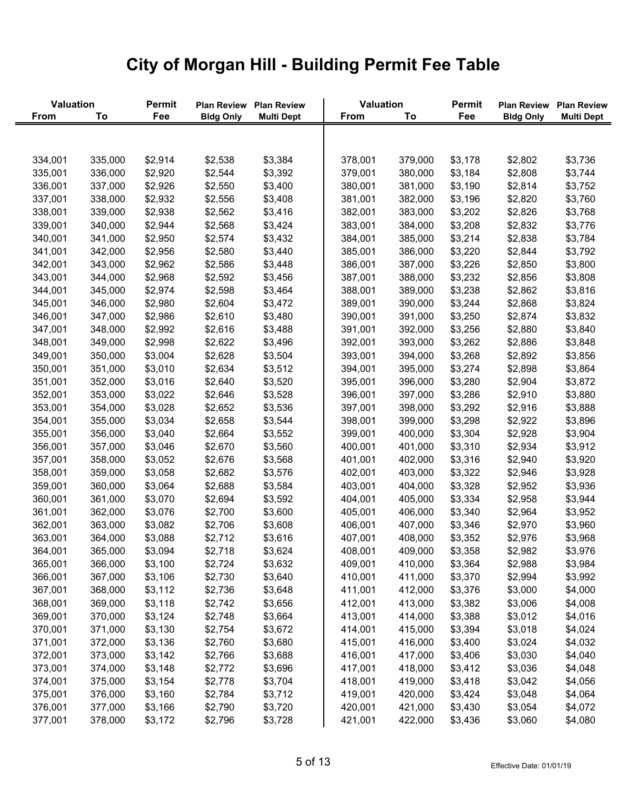| Valuation          |                    | Permit             | <b>Plan Review</b> | <b>Plan Review</b> | Valuation          |                    | <b>Permit</b>      | <b>Plan Review</b> | <b>Plan Review</b> |
|--------------------|--------------------|--------------------|--------------------|--------------------|--------------------|--------------------|--------------------|--------------------|--------------------|
| <b>From</b>        | To                 | Fee                | <b>Bldg Only</b>   | <b>Multi Dept</b>  | From               | To                 | Fee                | <b>Bldg Only</b>   | <b>Multi Dept</b>  |
|                    |                    |                    |                    |                    |                    |                    |                    |                    |                    |
| 334,001            | 335,000            | \$2,914            | \$2,538            | \$3,384            | 378,001            | 379,000            | \$3,178            | \$2,802            | \$3,736            |
| 335,001            | 336,000            | \$2,920            | \$2,544            | \$3,392            | 379,001            | 380,000            | \$3,184            | \$2,808            | \$3,744            |
| 336,001            | 337,000            | \$2,926            | \$2,550            | \$3,400            | 380,001            | 381,000            | \$3,190            | \$2,814            | \$3,752            |
| 337,001            | 338,000            | \$2,932            | \$2,556            | \$3,408            | 381,001            | 382,000            | \$3,196            | \$2,820            | \$3,760            |
| 338,001            | 339,000            | \$2,938            | \$2,562            | \$3,416            | 382,001            | 383,000            | \$3,202            | \$2,826            | \$3,768            |
| 339,001            | 340,000            | \$2,944            | \$2,568            | \$3,424            | 383,001            | 384,000            | \$3,208            | \$2,832            | \$3,776            |
| 340,001            | 341,000            | \$2,950            | \$2,574            | \$3,432            | 384,001            | 385,000            | \$3,214            | \$2,838            | \$3,784            |
| 341,001            | 342,000            | \$2,956            | \$2,580            | \$3,440            | 385,001            | 386,000            | \$3,220            | \$2,844            | \$3,792            |
| 342,001            | 343,000            | \$2,962            | \$2,586            | \$3,448            | 386,001            | 387,000            | \$3,226            | \$2,850            | \$3,800            |
| 343,001            | 344,000            | \$2,968            | \$2,592            | \$3,456            | 387,001            | 388,000            | \$3,232            | \$2,856            | \$3,808            |
| 344,001            | 345,000            | \$2,974            | \$2,598            | \$3,464            | 388,001            | 389,000            | \$3,238            | \$2,862            | \$3,816            |
| 345,001            | 346,000            | \$2,980            | \$2,604            | \$3,472            | 389,001            | 390,000            | \$3,244            | \$2,868            | \$3,824            |
| 346,001            | 347,000            | \$2,986            | \$2,610            | \$3,480            | 390,001            | 391,000            | \$3,250            | \$2,874            | \$3,832            |
| 347,001            | 348,000            | \$2,992            | \$2,616            | \$3,488            | 391,001            | 392,000            | \$3,256            | \$2,880            | \$3,840            |
| 348,001            | 349,000            | \$2,998            | \$2,622            | \$3,496            | 392,001            | 393,000            | \$3,262            | \$2,886            | \$3,848            |
| 349,001            | 350,000            | \$3,004            | \$2,628            | \$3,504            | 393,001            | 394,000            | \$3,268            | \$2,892            | \$3,856            |
| 350,001            | 351,000            | \$3,010            | \$2,634            | \$3,512            | 394,001            | 395,000            | \$3,274            | \$2,898            | \$3,864            |
| 351,001            | 352,000            | \$3,016            | \$2,640            | \$3,520            | 395,001            | 396,000            | \$3,280            | \$2,904            | \$3,872            |
| 352,001            | 353,000            | \$3,022            | \$2,646            | \$3,528            | 396,001            | 397,000            | \$3,286            | \$2,910            | \$3,880            |
| 353,001            | 354,000            | \$3,028            | \$2,652            | \$3,536            | 397,001            | 398,000            | \$3,292            | \$2,916            | \$3,888            |
| 354,001            | 355,000            | \$3,034            | \$2,658            | \$3,544            | 398,001            | 399,000            | \$3,298            | \$2,922            | \$3,896            |
| 355,001            | 356,000            | \$3,040            | \$2,664            | \$3,552            | 399,001            | 400,000            | \$3,304            | \$2,928            | \$3,904            |
| 356,001            | 357,000            | \$3,046            | \$2,670            | \$3,560            | 400,001            | 401,000            | \$3,310            | \$2,934            | \$3,912            |
| 357,001            | 358,000            | \$3,052            | \$2,676            | \$3,568            | 401,001            | 402,000            | \$3,316            | \$2,940            | \$3,920            |
| 358,001            | 359,000            | \$3,058            | \$2,682            | \$3,576            | 402,001            | 403,000            | \$3,322            | \$2,946            | \$3,928            |
| 359,001            | 360,000            | \$3,064            | \$2,688            | \$3,584            | 403,001            | 404,000            | \$3,328            | \$2,952            | \$3,936            |
| 360,001            | 361,000            | \$3,070            | \$2,694            | \$3,592            | 404,001            | 405,000            | \$3,334            | \$2,958            | \$3,944            |
| 361,001            | 362,000            | \$3,076            | \$2,700            | \$3,600            | 405,001            | 406,000            | \$3,340            | \$2,964            | \$3,952            |
| 362,001            | 363,000            | \$3,082            | \$2,706            | \$3,608            | 406,001            | 407,000            | \$3,346            | \$2,970            | \$3,960            |
| 363,001            | 364,000            | \$3,088            | \$2,712            | \$3,616            | 407,001            | 408,000            | \$3,352            | \$2,976            | \$3,968            |
| 364,001            | 365,000            | \$3,094            | \$2,718            | \$3,624            | 408,001            | 409,000            | \$3,358            | \$2,982            | \$3,976            |
| 365,001            | 366,000            | \$3,100            | \$2,724            | \$3,632            | 409,001            | 410,000            | \$3,364            | \$2,988            | \$3,984            |
| 366,001            | 367,000            | \$3,106            | \$2,730            | \$3,640            | 410,001            | 411,000            | \$3,370            | \$2,994            | \$3,992            |
| 367,001            | 368,000            | \$3,112            | \$2,736            | \$3,648            | 411,001            | 412,000            | \$3,376            | \$3,000            | \$4,000            |
| 368,001            | 369,000            | \$3,118            | \$2,742            | \$3,656            | 412,001            | 413,000            | \$3,382            | \$3,006            | \$4,008            |
| 369,001            | 370,000            | \$3,124            | \$2,748            | \$3,664            | 413,001            | 414,000            | \$3,388            | \$3,012            | \$4,016            |
| 370,001            | 371,000            | \$3,130            | \$2,754            | \$3,672            | 414,001            | 415,000            | \$3,394            | \$3,018            | \$4,024            |
| 371,001            | 372,000            | \$3,136            | \$2,760            | \$3,680            | 415,001            | 416,000            | \$3,400            | \$3,024            | \$4,032            |
| 372,001            | 373,000            | \$3,142            | \$2,766            | \$3,688            | 416,001            | 417,000            | \$3,406            | \$3,030            | \$4,040            |
|                    |                    |                    |                    |                    |                    |                    |                    |                    |                    |
| 373,001<br>374,001 | 374,000<br>375,000 | \$3,148<br>\$3,154 | \$2,772<br>\$2,778 | \$3,696<br>\$3,704 | 417,001<br>418,001 | 418,000<br>419,000 | \$3,412<br>\$3,418 | \$3,036<br>\$3,042 | \$4,048<br>\$4,056 |
| 375,001            | 376,000            | \$3,160            | \$2,784            | \$3,712            | 419,001            | 420,000            | \$3,424            | \$3,048            | \$4,064            |
| 376,001            | 377,000            | \$3,166            | \$2,790            | \$3,720            | 420,001            | 421,000            | \$3,430            | \$3,054            | \$4,072            |
| 377,001            | 378,000            | \$3,172            | \$2,796            | \$3,728            | 421,001            | 422,000            | \$3,436            | \$3,060            | \$4,080            |
|                    |                    |                    |                    |                    |                    |                    |                    |                    |                    |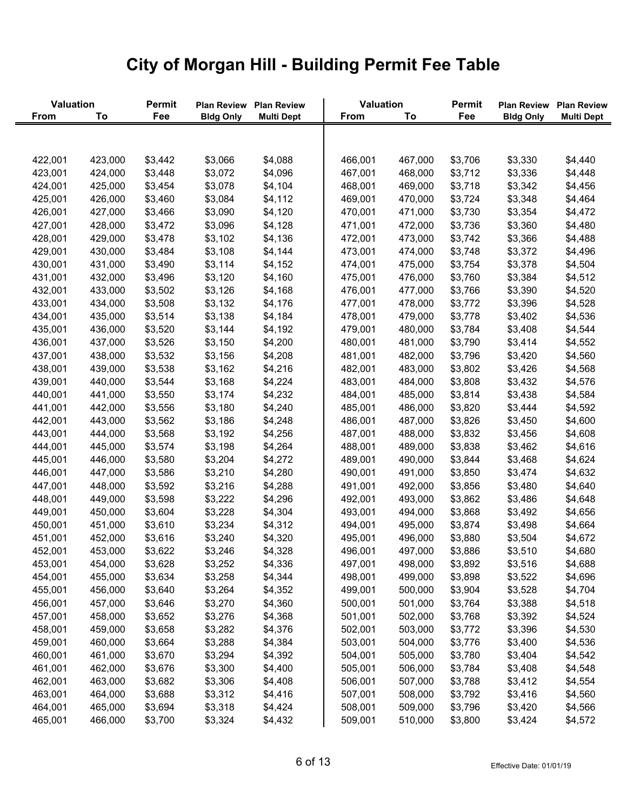| Valuation   |         | Permit  | <b>Plan Review</b> | <b>Plan Review</b> | Valuation   |         | <b>Permit</b> | <b>Plan Review</b> | <b>Plan Review</b> |
|-------------|---------|---------|--------------------|--------------------|-------------|---------|---------------|--------------------|--------------------|
| <b>From</b> | To      | Fee     | <b>Bldg Only</b>   | <b>Multi Dept</b>  | <b>From</b> | To      | Fee           | <b>Bldg Only</b>   | <b>Multi Dept</b>  |
|             |         |         |                    |                    |             |         |               |                    |                    |
| 422,001     | 423,000 | \$3,442 | \$3,066            | \$4,088            | 466,001     | 467,000 | \$3,706       | \$3,330            | \$4,440            |
| 423,001     | 424,000 | \$3,448 | \$3,072            | \$4,096            | 467,001     | 468,000 | \$3,712       | \$3,336            | \$4,448            |
| 424,001     | 425,000 | \$3,454 | \$3,078            | \$4,104            | 468,001     | 469,000 | \$3,718       | \$3,342            | \$4,456            |
| 425,001     | 426,000 | \$3,460 | \$3,084            | \$4,112            | 469,001     | 470,000 | \$3,724       | \$3,348            | \$4,464            |
| 426,001     | 427,000 | \$3,466 | \$3,090            | \$4,120            | 470,001     | 471,000 | \$3,730       | \$3,354            | \$4,472            |
| 427,001     | 428,000 | \$3,472 | \$3,096            | \$4,128            | 471,001     | 472,000 | \$3,736       | \$3,360            | \$4,480            |
| 428,001     | 429,000 | \$3,478 | \$3,102            | \$4,136            | 472,001     | 473,000 | \$3,742       | \$3,366            | \$4,488            |
| 429,001     | 430,000 | \$3,484 | \$3,108            | \$4,144            | 473,001     | 474,000 | \$3,748       | \$3,372            | \$4,496            |
| 430,001     | 431,000 | \$3,490 | \$3,114            | \$4,152            | 474,001     | 475,000 | \$3,754       | \$3,378            | \$4,504            |
| 431,001     | 432,000 | \$3,496 | \$3,120            | \$4,160            | 475,001     | 476,000 | \$3,760       | \$3,384            | \$4,512            |
| 432,001     | 433,000 | \$3,502 | \$3,126            | \$4,168            | 476,001     | 477,000 | \$3,766       | \$3,390            | \$4,520            |
| 433,001     | 434,000 | \$3,508 | \$3,132            | \$4,176            | 477,001     | 478,000 | \$3,772       | \$3,396            | \$4,528            |
| 434,001     | 435,000 | \$3,514 | \$3,138            | \$4,184            | 478,001     | 479,000 | \$3,778       | \$3,402            | \$4,536            |
| 435,001     | 436,000 | \$3,520 | \$3,144            | \$4,192            | 479,001     | 480,000 | \$3,784       | \$3,408            | \$4,544            |
| 436,001     | 437,000 | \$3,526 | \$3,150            | \$4,200            | 480,001     | 481,000 | \$3,790       | \$3,414            | \$4,552            |
| 437,001     | 438,000 | \$3,532 | \$3,156            | \$4,208            | 481,001     | 482,000 | \$3,796       | \$3,420            | \$4,560            |
| 438,001     | 439,000 | \$3,538 | \$3,162            | \$4,216            | 482,001     | 483,000 | \$3,802       | \$3,426            | \$4,568            |
| 439,001     | 440,000 | \$3,544 | \$3,168            | \$4,224            | 483,001     | 484,000 | \$3,808       | \$3,432            | \$4,576            |
| 440,001     | 441,000 | \$3,550 | \$3,174            | \$4,232            | 484,001     | 485,000 | \$3,814       | \$3,438            | \$4,584            |
| 441,001     | 442,000 | \$3,556 | \$3,180            | \$4,240            | 485,001     | 486,000 | \$3,820       | \$3,444            | \$4,592            |
| 442,001     | 443,000 | \$3,562 | \$3,186            | \$4,248            | 486,001     | 487,000 | \$3,826       | \$3,450            | \$4,600            |
| 443,001     | 444,000 | \$3,568 | \$3,192            | \$4,256            | 487,001     | 488,000 | \$3,832       | \$3,456            | \$4,608            |
| 444,001     | 445,000 | \$3,574 | \$3,198            | \$4,264            | 488,001     | 489,000 | \$3,838       | \$3,462            | \$4,616            |
| 445,001     | 446,000 | \$3,580 | \$3,204            | \$4,272            | 489,001     | 490,000 | \$3,844       | \$3,468            | \$4,624            |
| 446,001     | 447,000 | \$3,586 | \$3,210            | \$4,280            | 490,001     | 491,000 | \$3,850       | \$3,474            | \$4,632            |
| 447,001     | 448,000 | \$3,592 | \$3,216            | \$4,288            | 491,001     | 492,000 | \$3,856       | \$3,480            | \$4,640            |
| 448,001     | 449,000 | \$3,598 | \$3,222            | \$4,296            | 492,001     | 493,000 | \$3,862       | \$3,486            | \$4,648            |
| 449,001     | 450,000 | \$3,604 | \$3,228            | \$4,304            | 493,001     | 494,000 | \$3,868       | \$3,492            | \$4,656            |
| 450,001     | 451,000 | \$3,610 | \$3,234            | \$4,312            | 494,001     | 495,000 | \$3,874       | \$3,498            | \$4,664            |
| 451,001     | 452,000 | \$3,616 | \$3,240            | \$4,320            | 495,001     | 496,000 | \$3,880       | \$3,504            | \$4,672            |
| 452,001     | 453,000 | \$3,622 | \$3,246            | \$4,328            | 496,001     | 497,000 | \$3,886       | \$3,510            | \$4,680            |
| 453,001     | 454,000 | \$3,628 | \$3,252            | \$4,336            | 497,001     | 498,000 | \$3,892       | \$3,516            | \$4,688            |
| 454,001     | 455,000 | \$3,634 | \$3,258            | \$4,344            | 498,001     | 499,000 | \$3,898       | \$3,522            | \$4,696            |
| 455,001     | 456,000 | \$3,640 | \$3,264            | \$4,352            | 499,001     | 500,000 | \$3,904       | \$3,528            | \$4,704            |
| 456,001     | 457,000 | \$3,646 | \$3,270            | \$4,360            | 500,001     | 501,000 | \$3,764       | \$3,388            | \$4,518            |
| 457,001     | 458,000 | \$3,652 | \$3,276            | \$4,368            | 501,001     | 502,000 | \$3,768       | \$3,392            | \$4,524            |
| 458,001     | 459,000 | \$3,658 | \$3,282            | \$4,376            | 502,001     | 503,000 | \$3,772       | \$3,396            | \$4,530            |
| 459,001     | 460,000 | \$3,664 | \$3,288            | \$4,384            | 503,001     | 504,000 | \$3,776       | \$3,400            | \$4,536            |
| 460,001     | 461,000 | \$3,670 | \$3,294            | \$4,392            | 504,001     | 505,000 | \$3,780       | \$3,404            | \$4,542            |
| 461,001     | 462,000 | \$3,676 | \$3,300            | \$4,400            | 505,001     | 506,000 | \$3,784       | \$3,408            | \$4,548            |
| 462,001     | 463,000 | \$3,682 | \$3,306            | \$4,408            | 506,001     | 507,000 | \$3,788       | \$3,412            | \$4,554            |
| 463,001     | 464,000 | \$3,688 | \$3,312            | \$4,416            | 507,001     | 508,000 | \$3,792       | \$3,416            | \$4,560            |
| 464,001     | 465,000 | \$3,694 | \$3,318            | \$4,424            | 508,001     | 509,000 | \$3,796       | \$3,420            | \$4,566            |
| 465,001     | 466,000 | \$3,700 | \$3,324            | \$4,432            | 509,001     | 510,000 | \$3,800       | \$3,424            | \$4,572            |
|             |         |         |                    |                    |             |         |               |                    |                    |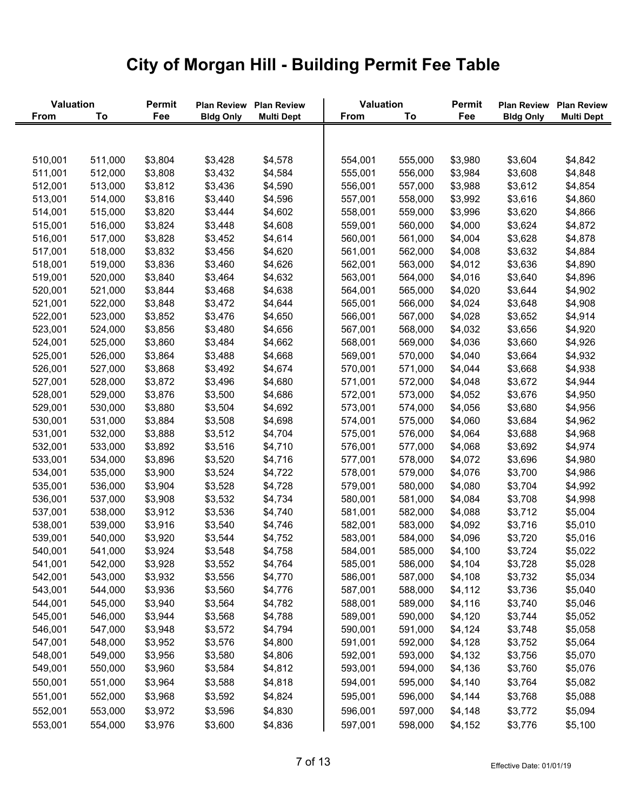| Valuation   |         | Permit  | <b>Plan Review</b> | <b>Plan Review</b> | Valuation   |         | Permit  | <b>Plan Review</b> | <b>Plan Review</b> |
|-------------|---------|---------|--------------------|--------------------|-------------|---------|---------|--------------------|--------------------|
| <b>From</b> | To      | Fee     | <b>Bldg Only</b>   | <b>Multi Dept</b>  | <b>From</b> | To      | Fee     | <b>Bldg Only</b>   | <b>Multi Dept</b>  |
|             |         |         |                    |                    |             |         |         |                    |                    |
| 510,001     | 511,000 | \$3,804 | \$3,428            | \$4,578            | 554,001     | 555,000 | \$3,980 | \$3,604            | \$4,842            |
| 511,001     | 512,000 | \$3,808 | \$3,432            | \$4,584            | 555,001     | 556,000 | \$3,984 | \$3,608            | \$4,848            |
| 512,001     | 513,000 | \$3,812 | \$3,436            | \$4,590            | 556,001     | 557,000 | \$3,988 | \$3,612            | \$4,854            |
| 513,001     | 514,000 | \$3,816 | \$3,440            | \$4,596            | 557,001     | 558,000 | \$3,992 | \$3,616            | \$4,860            |
| 514,001     | 515,000 | \$3,820 | \$3,444            | \$4,602            | 558,001     | 559,000 | \$3,996 | \$3,620            | \$4,866            |
| 515,001     | 516,000 | \$3,824 | \$3,448            | \$4,608            | 559,001     | 560,000 | \$4,000 | \$3,624            | \$4,872            |
| 516,001     | 517,000 | \$3,828 | \$3,452            | \$4,614            | 560,001     | 561,000 | \$4,004 | \$3,628            | \$4,878            |
| 517,001     | 518,000 | \$3,832 | \$3,456            | \$4,620            | 561,001     | 562,000 | \$4,008 | \$3,632            | \$4,884            |
| 518,001     | 519,000 | \$3,836 | \$3,460            | \$4,626            | 562,001     | 563,000 | \$4,012 | \$3,636            | \$4,890            |
| 519,001     | 520,000 | \$3,840 | \$3,464            | \$4,632            | 563,001     | 564,000 | \$4,016 | \$3,640            | \$4,896            |
| 520,001     | 521,000 | \$3,844 | \$3,468            | \$4,638            | 564,001     | 565,000 | \$4,020 | \$3,644            | \$4,902            |
| 521,001     | 522,000 | \$3,848 | \$3,472            | \$4,644            | 565,001     | 566,000 | \$4,024 | \$3,648            | \$4,908            |
| 522,001     | 523,000 | \$3,852 | \$3,476            | \$4,650            | 566,001     | 567,000 | \$4,028 | \$3,652            | \$4,914            |
| 523,001     | 524,000 | \$3,856 | \$3,480            | \$4,656            | 567,001     | 568,000 | \$4,032 | \$3,656            | \$4,920            |
| 524,001     | 525,000 | \$3,860 | \$3,484            | \$4,662            | 568,001     | 569,000 | \$4,036 | \$3,660            | \$4,926            |
| 525,001     | 526,000 | \$3,864 | \$3,488            | \$4,668            | 569,001     | 570,000 | \$4,040 | \$3,664            | \$4,932            |
| 526,001     | 527,000 | \$3,868 | \$3,492            | \$4,674            | 570,001     | 571,000 | \$4,044 | \$3,668            | \$4,938            |
| 527,001     | 528,000 | \$3,872 | \$3,496            | \$4,680            | 571,001     | 572,000 | \$4,048 | \$3,672            | \$4,944            |
| 528,001     | 529,000 | \$3,876 | \$3,500            | \$4,686            | 572,001     | 573,000 | \$4,052 | \$3,676            | \$4,950            |
| 529,001     | 530,000 | \$3,880 | \$3,504            | \$4,692            | 573,001     | 574,000 | \$4,056 | \$3,680            | \$4,956            |
| 530,001     | 531,000 | \$3,884 | \$3,508            | \$4,698            | 574,001     | 575,000 | \$4,060 | \$3,684            | \$4,962            |
| 531,001     | 532,000 | \$3,888 | \$3,512            | \$4,704            | 575,001     | 576,000 | \$4,064 | \$3,688            | \$4,968            |
| 532,001     | 533,000 | \$3,892 | \$3,516            | \$4,710            | 576,001     | 577,000 | \$4,068 | \$3,692            | \$4,974            |
| 533,001     | 534,000 | \$3,896 | \$3,520            | \$4,716            | 577,001     | 578,000 | \$4,072 | \$3,696            | \$4,980            |
| 534,001     | 535,000 | \$3,900 | \$3,524            | \$4,722            | 578,001     | 579,000 | \$4,076 | \$3,700            | \$4,986            |
| 535,001     | 536,000 | \$3,904 | \$3,528            | \$4,728            | 579,001     | 580,000 | \$4,080 | \$3,704            | \$4,992            |
| 536,001     | 537,000 | \$3,908 | \$3,532            | \$4,734            | 580,001     | 581,000 | \$4,084 | \$3,708            | \$4,998            |
| 537,001     | 538,000 | \$3,912 | \$3,536            | \$4,740            | 581,001     | 582,000 | \$4,088 | \$3,712            | \$5,004            |
| 538,001     | 539,000 | \$3,916 | \$3,540            | \$4,746            | 582,001     | 583,000 | \$4,092 | \$3,716            | \$5,010            |
| 539,001     | 540,000 | \$3,920 | \$3,544            | \$4,752            | 583,001     | 584,000 | \$4,096 | \$3,720            | \$5,016            |
| 540,001     | 541,000 | \$3,924 | \$3,548            | \$4,758            | 584,001     | 585,000 | \$4,100 | \$3,724            | \$5,022            |
| 541,001     | 542,000 | \$3,928 | \$3,552            | \$4,764            | 585,001     | 586,000 | \$4,104 | \$3,728            | \$5,028            |
| 542,001     | 543,000 | \$3,932 | \$3,556            | \$4,770            | 586,001     | 587,000 | \$4,108 | \$3,732            | \$5,034            |
| 543,001     | 544,000 | \$3,936 | \$3,560            | \$4,776            | 587,001     | 588,000 | \$4,112 | \$3,736            | \$5,040            |
| 544,001     | 545,000 | \$3,940 | \$3,564            | \$4,782            | 588,001     | 589,000 | \$4,116 | \$3,740            | \$5,046            |
| 545,001     | 546,000 | \$3,944 | \$3,568            | \$4,788            | 589,001     | 590,000 | \$4,120 | \$3,744            | \$5,052            |
| 546,001     | 547,000 | \$3,948 | \$3,572            | \$4,794            | 590,001     | 591,000 | \$4,124 | \$3,748            | \$5,058            |
| 547,001     | 548,000 | \$3,952 | \$3,576            | \$4,800            | 591,001     | 592,000 | \$4,128 | \$3,752            | \$5,064            |
| 548,001     | 549,000 | \$3,956 | \$3,580            | \$4,806            | 592,001     | 593,000 | \$4,132 | \$3,756            | \$5,070            |
| 549,001     | 550,000 | \$3,960 | \$3,584            | \$4,812            | 593,001     | 594,000 | \$4,136 | \$3,760            | \$5,076            |
| 550,001     | 551,000 | \$3,964 | \$3,588            | \$4,818            | 594,001     | 595,000 | \$4,140 | \$3,764            | \$5,082            |
| 551,001     | 552,000 | \$3,968 | \$3,592            | \$4,824            | 595,001     | 596,000 | \$4,144 | \$3,768            | \$5,088            |
| 552,001     | 553,000 | \$3,972 | \$3,596            | \$4,830            | 596,001     | 597,000 | \$4,148 | \$3,772            | \$5,094            |
| 553,001     | 554,000 | \$3,976 | \$3,600            | \$4,836            | 597,001     | 598,000 | \$4,152 | \$3,776            | \$5,100            |
|             |         |         |                    |                    |             |         |         |                    |                    |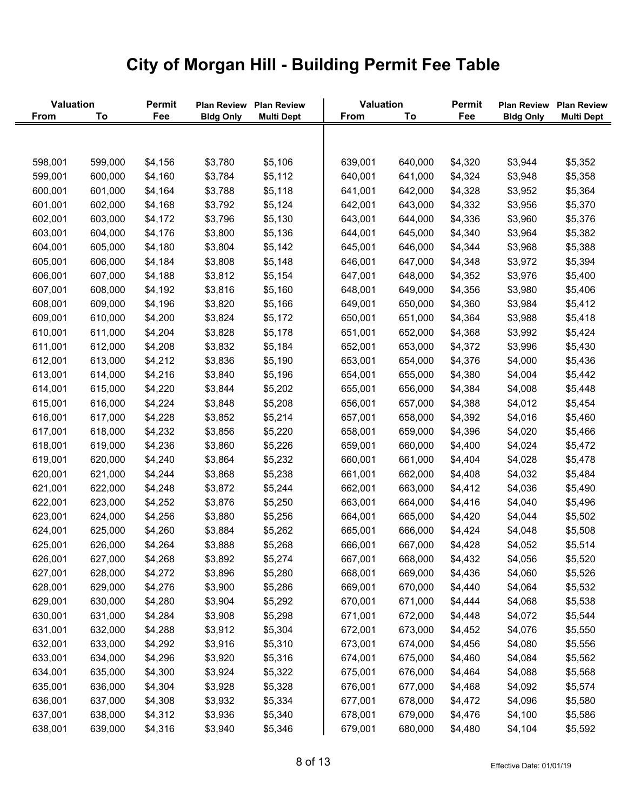| Valuation   |         | Permit  |                  | Plan Review Plan Review | Valuation   |         | Permit  | <b>Plan Review</b> | <b>Plan Review</b> |
|-------------|---------|---------|------------------|-------------------------|-------------|---------|---------|--------------------|--------------------|
| <b>From</b> | To      | Fee     | <b>Bldg Only</b> | <b>Multi Dept</b>       | <b>From</b> | To      | Fee     | <b>Bldg Only</b>   | <b>Multi Dept</b>  |
|             |         |         |                  |                         |             |         |         |                    |                    |
| 598,001     | 599,000 | \$4,156 | \$3,780          | \$5,106                 | 639,001     | 640,000 | \$4,320 | \$3,944            | \$5,352            |
| 599,001     | 600,000 | \$4,160 | \$3,784          | \$5,112                 | 640,001     | 641,000 | \$4,324 | \$3,948            | \$5,358            |
| 600,001     | 601,000 | \$4,164 | \$3,788          | \$5,118                 | 641,001     | 642,000 | \$4,328 | \$3,952            | \$5,364            |
| 601,001     | 602,000 | \$4,168 | \$3,792          | \$5,124                 | 642,001     | 643,000 | \$4,332 | \$3,956            | \$5,370            |
| 602,001     | 603,000 | \$4,172 | \$3,796          | \$5,130                 | 643,001     | 644,000 | \$4,336 | \$3,960            | \$5,376            |
| 603,001     | 604,000 | \$4,176 | \$3,800          | \$5,136                 | 644,001     | 645,000 | \$4,340 | \$3,964            | \$5,382            |
| 604,001     | 605,000 | \$4,180 | \$3,804          | \$5,142                 | 645,001     | 646,000 | \$4,344 | \$3,968            | \$5,388            |
| 605,001     | 606,000 | \$4,184 | \$3,808          | \$5,148                 | 646,001     | 647,000 | \$4,348 | \$3,972            | \$5,394            |
| 606,001     | 607,000 | \$4,188 | \$3,812          | \$5,154                 | 647,001     | 648,000 | \$4,352 | \$3,976            | \$5,400            |
| 607,001     | 608,000 | \$4,192 | \$3,816          | \$5,160                 | 648,001     | 649,000 | \$4,356 | \$3,980            | \$5,406            |
| 608,001     | 609,000 | \$4,196 | \$3,820          | \$5,166                 | 649,001     | 650,000 | \$4,360 | \$3,984            | \$5,412            |
| 609,001     | 610,000 | \$4,200 | \$3,824          | \$5,172                 | 650,001     | 651,000 | \$4,364 | \$3,988            | \$5,418            |
| 610,001     | 611,000 | \$4,204 | \$3,828          | \$5,178                 | 651,001     | 652,000 | \$4,368 | \$3,992            | \$5,424            |
| 611,001     | 612,000 | \$4,208 | \$3,832          | \$5,184                 | 652,001     | 653,000 | \$4,372 | \$3,996            | \$5,430            |
| 612,001     | 613,000 | \$4,212 | \$3,836          | \$5,190                 | 653,001     | 654,000 | \$4,376 | \$4,000            | \$5,436            |
| 613,001     | 614,000 | \$4,216 | \$3,840          | \$5,196                 | 654,001     | 655,000 | \$4,380 | \$4,004            | \$5,442            |
| 614,001     | 615,000 | \$4,220 | \$3,844          | \$5,202                 | 655,001     | 656,000 | \$4,384 | \$4,008            | \$5,448            |
| 615,001     | 616,000 | \$4,224 | \$3,848          | \$5,208                 | 656,001     | 657,000 | \$4,388 | \$4,012            | \$5,454            |
| 616,001     | 617,000 | \$4,228 | \$3,852          | \$5,214                 | 657,001     | 658,000 | \$4,392 | \$4,016            | \$5,460            |
| 617,001     | 618,000 | \$4,232 | \$3,856          | \$5,220                 | 658,001     | 659,000 | \$4,396 | \$4,020            | \$5,466            |
| 618,001     | 619,000 | \$4,236 | \$3,860          | \$5,226                 | 659,001     | 660,000 | \$4,400 | \$4,024            | \$5,472            |
| 619,001     | 620,000 | \$4,240 | \$3,864          | \$5,232                 | 660,001     | 661,000 | \$4,404 | \$4,028            | \$5,478            |
| 620,001     | 621,000 | \$4,244 | \$3,868          | \$5,238                 | 661,001     | 662,000 | \$4,408 | \$4,032            | \$5,484            |
| 621,001     | 622,000 | \$4,248 | \$3,872          | \$5,244                 | 662,001     | 663,000 | \$4,412 | \$4,036            | \$5,490            |
| 622,001     | 623,000 | \$4,252 | \$3,876          | \$5,250                 | 663,001     | 664,000 | \$4,416 | \$4,040            | \$5,496            |
| 623,001     | 624,000 | \$4,256 | \$3,880          | \$5,256                 | 664,001     | 665,000 | \$4,420 | \$4,044            | \$5,502            |
| 624,001     | 625,000 | \$4,260 | \$3,884          | \$5,262                 | 665,001     | 666,000 | \$4,424 | \$4,048            | \$5,508            |
| 625,001     | 626,000 | \$4,264 | \$3,888          | \$5,268                 | 666,001     | 667,000 | \$4,428 | \$4,052            | \$5,514            |
| 626,001     | 627,000 | \$4,268 | \$3,892          | \$5,274                 | 667,001     | 668,000 | \$4,432 | \$4,056            | \$5,520            |
| 627,001     | 628,000 | \$4,272 | \$3,896          | \$5,280                 | 668,001     | 669,000 | \$4,436 | \$4,060            | \$5,526            |
| 628,001     | 629,000 | \$4,276 | \$3,900          | \$5,286                 | 669,001     | 670,000 | \$4,440 | \$4,064            | \$5,532            |
| 629,001     | 630,000 | \$4,280 | \$3,904          | \$5,292                 | 670,001     | 671,000 | \$4,444 | \$4,068            | \$5,538            |
| 630,001     | 631,000 | \$4,284 | \$3,908          | \$5,298                 | 671,001     | 672,000 | \$4,448 | \$4,072            | \$5,544            |
| 631,001     | 632,000 | \$4,288 | \$3,912          | \$5,304                 | 672,001     | 673,000 | \$4,452 | \$4,076            | \$5,550            |
| 632,001     | 633,000 | \$4,292 | \$3,916          | \$5,310                 | 673,001     | 674,000 | \$4,456 | \$4,080            | \$5,556            |
| 633,001     | 634,000 | \$4,296 | \$3,920          | \$5,316                 | 674,001     | 675,000 | \$4,460 | \$4,084            | \$5,562            |
| 634,001     | 635,000 | \$4,300 | \$3,924          | \$5,322                 | 675,001     | 676,000 | \$4,464 | \$4,088            | \$5,568            |
| 635,001     | 636,000 | \$4,304 | \$3,928          | \$5,328                 | 676,001     | 677,000 | \$4,468 | \$4,092            | \$5,574            |
| 636,001     | 637,000 | \$4,308 | \$3,932          | \$5,334                 | 677,001     | 678,000 | \$4,472 | \$4,096            | \$5,580            |
| 637,001     | 638,000 | \$4,312 | \$3,936          | \$5,340                 | 678,001     | 679,000 | \$4,476 | \$4,100            | \$5,586            |
| 638,001     | 639,000 | \$4,316 | \$3,940          | \$5,346                 | 679,001     | 680,000 | \$4,480 | \$4,104            | \$5,592            |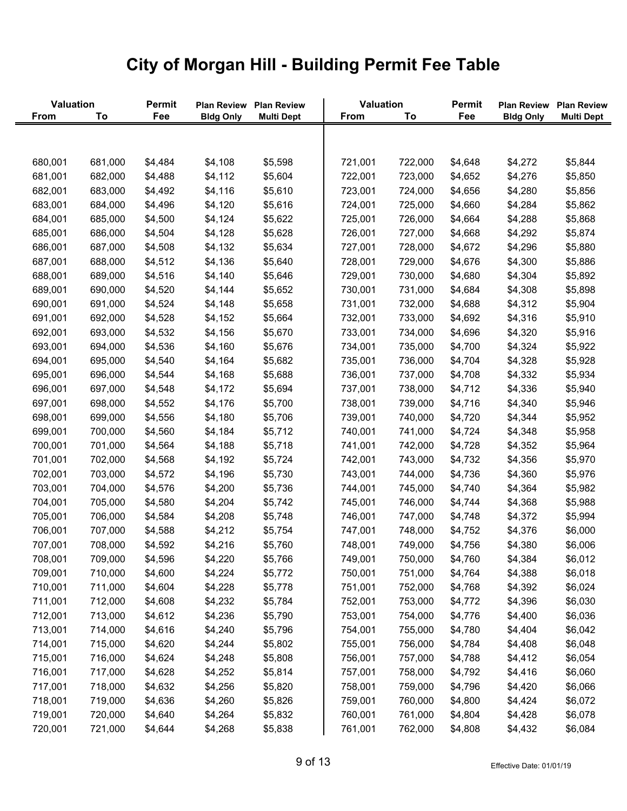| Valuation |         | Permit  | <b>Plan Review</b> | <b>Plan Review</b> | Valuation   |         | Permit  | <b>Plan Review</b> | <b>Plan Review</b> |
|-----------|---------|---------|--------------------|--------------------|-------------|---------|---------|--------------------|--------------------|
| From      | To      | Fee     | <b>Bldg Only</b>   | <b>Multi Dept</b>  | <b>From</b> | To      | Fee     | <b>Bldg Only</b>   | <b>Multi Dept</b>  |
|           |         |         |                    |                    |             |         |         |                    |                    |
| 680,001   | 681,000 | \$4,484 | \$4,108            | \$5,598            | 721,001     | 722,000 | \$4,648 | \$4,272            | \$5,844            |
| 681,001   | 682,000 | \$4,488 | \$4,112            | \$5,604            | 722,001     | 723,000 | \$4,652 | \$4,276            | \$5,850            |
| 682,001   | 683,000 | \$4,492 | \$4,116            | \$5,610            | 723,001     | 724,000 | \$4,656 | \$4,280            | \$5,856            |
| 683,001   | 684,000 | \$4,496 | \$4,120            | \$5,616            | 724,001     | 725,000 | \$4,660 | \$4,284            | \$5,862            |
| 684,001   | 685,000 | \$4,500 | \$4,124            | \$5,622            | 725,001     | 726,000 | \$4,664 | \$4,288            | \$5,868            |
| 685,001   | 686,000 | \$4,504 | \$4,128            | \$5,628            | 726,001     | 727,000 | \$4,668 | \$4,292            | \$5,874            |
| 686,001   | 687,000 | \$4,508 | \$4,132            | \$5,634            | 727,001     | 728,000 | \$4,672 | \$4,296            | \$5,880            |
| 687,001   | 688,000 | \$4,512 | \$4,136            | \$5,640            | 728,001     | 729,000 | \$4,676 | \$4,300            | \$5,886            |
| 688,001   | 689,000 | \$4,516 | \$4,140            | \$5,646            | 729,001     | 730,000 | \$4,680 | \$4,304            | \$5,892            |
| 689,001   | 690,000 | \$4,520 | \$4,144            | \$5,652            | 730,001     | 731,000 | \$4,684 | \$4,308            | \$5,898            |
| 690,001   | 691,000 | \$4,524 | \$4,148            | \$5,658            | 731,001     | 732,000 | \$4,688 | \$4,312            | \$5,904            |
| 691,001   | 692,000 | \$4,528 | \$4,152            | \$5,664            | 732,001     | 733,000 | \$4,692 | \$4,316            | \$5,910            |
| 692,001   | 693,000 | \$4,532 | \$4,156            | \$5,670            | 733,001     | 734,000 | \$4,696 | \$4,320            | \$5,916            |
| 693,001   | 694,000 | \$4,536 | \$4,160            | \$5,676            | 734,001     | 735,000 | \$4,700 | \$4,324            | \$5,922            |
| 694,001   | 695,000 | \$4,540 | \$4,164            | \$5,682            | 735,001     | 736,000 | \$4,704 | \$4,328            | \$5,928            |
| 695,001   | 696,000 | \$4,544 | \$4,168            | \$5,688            | 736,001     | 737,000 | \$4,708 | \$4,332            | \$5,934            |
| 696,001   | 697,000 | \$4,548 | \$4,172            | \$5,694            | 737,001     | 738,000 | \$4,712 | \$4,336            | \$5,940            |
| 697,001   | 698,000 | \$4,552 | \$4,176            | \$5,700            | 738,001     | 739,000 | \$4,716 | \$4,340            | \$5,946            |
| 698,001   | 699,000 | \$4,556 | \$4,180            | \$5,706            | 739,001     | 740,000 | \$4,720 | \$4,344            | \$5,952            |
| 699,001   | 700,000 | \$4,560 | \$4,184            | \$5,712            | 740,001     | 741,000 | \$4,724 | \$4,348            | \$5,958            |
| 700,001   | 701,000 | \$4,564 | \$4,188            | \$5,718            | 741,001     | 742,000 | \$4,728 | \$4,352            | \$5,964            |
| 701,001   | 702,000 | \$4,568 | \$4,192            | \$5,724            | 742,001     | 743,000 | \$4,732 | \$4,356            | \$5,970            |
| 702,001   | 703,000 | \$4,572 | \$4,196            | \$5,730            | 743,001     | 744,000 | \$4,736 | \$4,360            | \$5,976            |
| 703,001   | 704,000 | \$4,576 | \$4,200            | \$5,736            | 744,001     | 745,000 | \$4,740 | \$4,364            | \$5,982            |
| 704,001   | 705,000 | \$4,580 | \$4,204            | \$5,742            | 745,001     | 746,000 | \$4,744 | \$4,368            | \$5,988            |
| 705,001   | 706,000 | \$4,584 | \$4,208            | \$5,748            | 746,001     | 747,000 | \$4,748 | \$4,372            | \$5,994            |
| 706,001   | 707,000 | \$4,588 | \$4,212            | \$5,754            | 747,001     | 748,000 | \$4,752 | \$4,376            | \$6,000            |
| 707,001   | 708,000 | \$4,592 | \$4,216            | \$5,760            | 748,001     | 749,000 | \$4,756 | \$4,380            | \$6,006            |
| 708,001   | 709,000 | \$4,596 | \$4,220            | \$5,766            | 749,001     | 750,000 | \$4,760 | \$4,384            | \$6,012            |
| 709,001   | 710,000 | \$4,600 | \$4,224            | \$5,772            | 750,001     | 751,000 | \$4,764 | \$4,388            | \$6,018            |
| 710,001   | 711,000 | \$4,604 | \$4,228            | \$5,778            | 751,001     | 752,000 | \$4,768 | \$4,392            | \$6,024            |
| 711,001   | 712,000 | \$4,608 | \$4,232            | \$5,784            | 752,001     | 753,000 | \$4,772 | \$4,396            | \$6,030            |
| 712,001   | 713,000 | \$4,612 | \$4,236            | \$5,790            | 753,001     | 754,000 | \$4,776 | \$4,400            | \$6,036            |
| 713,001   | 714,000 | \$4,616 | \$4,240            | \$5,796            | 754,001     | 755,000 | \$4,780 | \$4,404            | \$6,042            |
| 714,001   | 715,000 | \$4,620 | \$4,244            | \$5,802            | 755,001     | 756,000 | \$4,784 | \$4,408            | \$6,048            |
| 715,001   | 716,000 | \$4,624 | \$4,248            | \$5,808            | 756,001     | 757,000 | \$4,788 | \$4,412            | \$6,054            |
| 716,001   | 717,000 | \$4,628 | \$4,252            | \$5,814            | 757,001     | 758,000 | \$4,792 | \$4,416            | \$6,060            |
| 717,001   | 718,000 | \$4,632 | \$4,256            | \$5,820            | 758,001     | 759,000 | \$4,796 | \$4,420            | \$6,066            |
| 718,001   | 719,000 | \$4,636 | \$4,260            | \$5,826            | 759,001     | 760,000 | \$4,800 | \$4,424            | \$6,072            |
| 719,001   | 720,000 | \$4,640 | \$4,264            | \$5,832            | 760,001     | 761,000 | \$4,804 | \$4,428            | \$6,078            |
| 720,001   | 721,000 | \$4,644 | \$4,268            | \$5,838            | 761,001     | 762,000 | \$4,808 | \$4,432            | \$6,084            |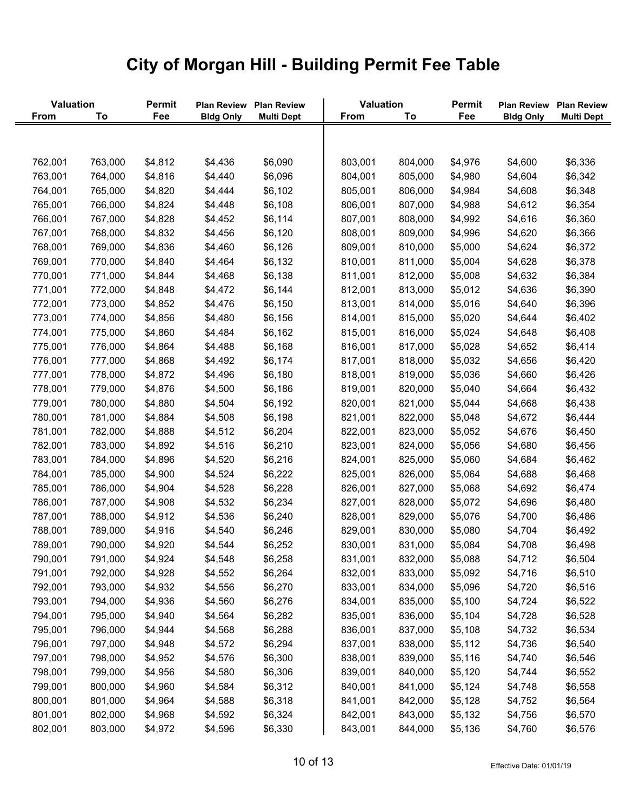| Valuation   |         | Permit  | <b>Plan Review</b> | <b>Plan Review</b> | Valuation   |         | Permit  | <b>Plan Review</b> | <b>Plan Review</b> |
|-------------|---------|---------|--------------------|--------------------|-------------|---------|---------|--------------------|--------------------|
| <b>From</b> | To      | Fee     | <b>Bldg Only</b>   | <b>Multi Dept</b>  | <b>From</b> | To      | Fee     | <b>Bldg Only</b>   | <b>Multi Dept</b>  |
|             |         |         |                    |                    |             |         |         |                    |                    |
| 762,001     | 763,000 | \$4,812 | \$4,436            | \$6,090            | 803,001     | 804,000 | \$4,976 | \$4,600            | \$6,336            |
| 763,001     | 764,000 | \$4,816 | \$4,440            | \$6,096            | 804,001     | 805,000 | \$4,980 | \$4,604            | \$6,342            |
| 764,001     | 765,000 | \$4,820 | \$4,444            | \$6,102            | 805,001     | 806,000 | \$4,984 | \$4,608            | \$6,348            |
| 765,001     | 766,000 | \$4,824 | \$4,448            | \$6,108            | 806,001     | 807,000 | \$4,988 | \$4,612            | \$6,354            |
| 766,001     | 767,000 | \$4,828 | \$4,452            | \$6,114            | 807,001     | 808,000 | \$4,992 | \$4,616            | \$6,360            |
| 767,001     | 768,000 | \$4,832 | \$4,456            | \$6,120            | 808,001     | 809,000 | \$4,996 | \$4,620            | \$6,366            |
| 768,001     | 769,000 | \$4,836 | \$4,460            | \$6,126            | 809,001     | 810,000 | \$5,000 | \$4,624            | \$6,372            |
| 769,001     | 770,000 | \$4,840 | \$4,464            | \$6,132            | 810,001     | 811,000 | \$5,004 | \$4,628            | \$6,378            |
| 770,001     | 771,000 | \$4,844 | \$4,468            | \$6,138            | 811,001     | 812,000 | \$5,008 | \$4,632            | \$6,384            |
| 771,001     | 772,000 | \$4,848 | \$4,472            | \$6,144            | 812,001     | 813,000 | \$5,012 | \$4,636            | \$6,390            |
| 772,001     | 773,000 | \$4,852 | \$4,476            | \$6,150            | 813,001     | 814,000 | \$5,016 | \$4,640            | \$6,396            |
| 773,001     | 774,000 | \$4,856 | \$4,480            | \$6,156            | 814,001     | 815,000 | \$5,020 | \$4,644            | \$6,402            |
| 774,001     | 775,000 | \$4,860 | \$4,484            | \$6,162            | 815,001     | 816,000 | \$5,024 | \$4,648            | \$6,408            |
| 775,001     | 776,000 | \$4,864 | \$4,488            | \$6,168            | 816,001     | 817,000 | \$5,028 | \$4,652            | \$6,414            |
| 776,001     | 777,000 | \$4,868 | \$4,492            | \$6,174            | 817,001     | 818,000 | \$5,032 | \$4,656            | \$6,420            |
| 777,001     | 778,000 | \$4,872 | \$4,496            | \$6,180            | 818,001     | 819,000 | \$5,036 | \$4,660            | \$6,426            |
| 778,001     | 779,000 | \$4,876 | \$4,500            | \$6,186            | 819,001     | 820,000 | \$5,040 | \$4,664            | \$6,432            |
| 779,001     | 780,000 | \$4,880 | \$4,504            | \$6,192            | 820,001     | 821,000 | \$5,044 | \$4,668            | \$6,438            |
| 780,001     | 781,000 | \$4,884 | \$4,508            | \$6,198            | 821,001     | 822,000 | \$5,048 | \$4,672            | \$6,444            |
| 781,001     | 782,000 | \$4,888 | \$4,512            | \$6,204            | 822,001     | 823,000 | \$5,052 | \$4,676            | \$6,450            |
| 782,001     | 783,000 | \$4,892 | \$4,516            | \$6,210            | 823,001     | 824,000 | \$5,056 | \$4,680            | \$6,456            |
| 783,001     | 784,000 | \$4,896 | \$4,520            | \$6,216            | 824,001     | 825,000 | \$5,060 | \$4,684            | \$6,462            |
| 784,001     | 785,000 | \$4,900 | \$4,524            | \$6,222            | 825,001     | 826,000 | \$5,064 | \$4,688            | \$6,468            |
| 785,001     | 786,000 | \$4,904 | \$4,528            | \$6,228            | 826,001     | 827,000 | \$5,068 | \$4,692            | \$6,474            |
| 786,001     | 787,000 | \$4,908 | \$4,532            | \$6,234            | 827,001     | 828,000 | \$5,072 | \$4,696            | \$6,480            |
| 787,001     | 788,000 | \$4,912 | \$4,536            | \$6,240            | 828,001     | 829,000 | \$5,076 | \$4,700            | \$6,486            |
| 788,001     | 789,000 | \$4,916 | \$4,540            | \$6,246            | 829,001     | 830,000 | \$5,080 | \$4,704            | \$6,492            |
| 789,001     | 790,000 | \$4,920 | \$4,544            | \$6,252            | 830,001     | 831,000 | \$5,084 | \$4,708            | \$6,498            |
| 790,001     | 791,000 | \$4,924 | \$4,548            | \$6,258            | 831,001     | 832,000 | \$5,088 | \$4,712            | \$6,504            |
| 791,001     | 792,000 | \$4,928 | \$4,552            | \$6,264            | 832,001     | 833,000 | \$5,092 | \$4,716            | \$6,510            |
| 792,001     | 793,000 | \$4,932 | \$4,556            | \$6,270            | 833,001     | 834,000 | \$5,096 | \$4,720            | \$6,516            |
| 793,001     | 794,000 | \$4,936 | \$4,560            | \$6,276            | 834,001     | 835,000 | \$5,100 | \$4,724            | \$6,522            |
| 794,001     | 795,000 | \$4,940 | \$4,564            | \$6,282            | 835,001     | 836,000 | \$5,104 | \$4,728            | \$6,528            |
| 795,001     | 796,000 | \$4,944 | \$4,568            | \$6,288            | 836,001     | 837,000 | \$5,108 | \$4,732            | \$6,534            |
| 796,001     | 797,000 | \$4,948 | \$4,572            | \$6,294            | 837,001     | 838,000 | \$5,112 | \$4,736            | \$6,540            |
| 797,001     | 798,000 | \$4,952 | \$4,576            | \$6,300            | 838,001     | 839,000 | \$5,116 | \$4,740            | \$6,546            |
| 798,001     | 799,000 | \$4,956 | \$4,580            | \$6,306            | 839,001     | 840,000 | \$5,120 | \$4,744            | \$6,552            |
| 799,001     | 800,000 | \$4,960 | \$4,584            | \$6,312            | 840,001     | 841,000 | \$5,124 | \$4,748            | \$6,558            |
| 800,001     | 801,000 | \$4,964 | \$4,588            | \$6,318            | 841,001     | 842,000 | \$5,128 | \$4,752            | \$6,564            |
| 801,001     | 802,000 | \$4,968 | \$4,592            | \$6,324            | 842,001     | 843,000 | \$5,132 | \$4,756            | \$6,570            |
| 802,001     | 803,000 | \$4,972 | \$4,596            | \$6,330            | 843,001     | 844,000 | \$5,136 | \$4,760            | \$6,576            |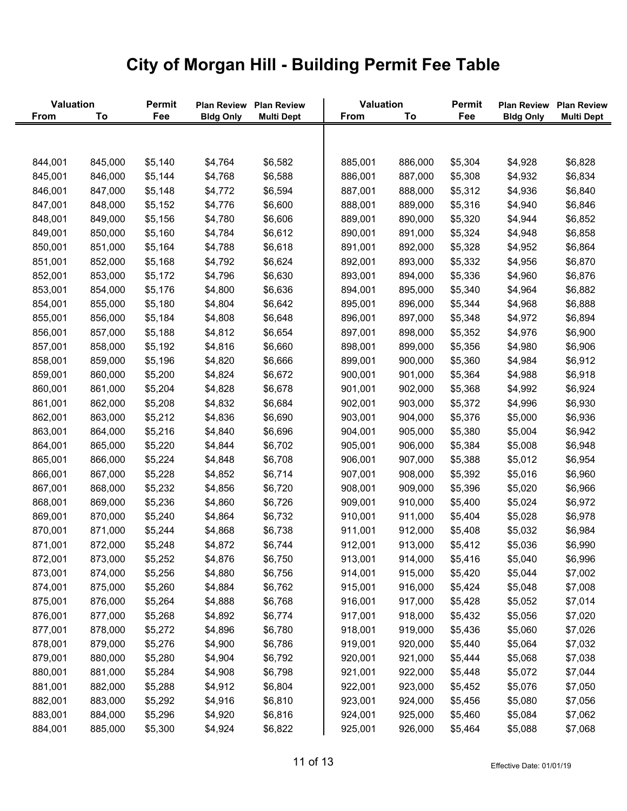| Valuation   |         | Permit  | <b>Plan Review</b> | <b>Plan Review</b> | Valuation   |         | Permit  | <b>Plan Review</b> | <b>Plan Review</b> |
|-------------|---------|---------|--------------------|--------------------|-------------|---------|---------|--------------------|--------------------|
| <b>From</b> | To      | Fee     | <b>Bldg Only</b>   | <b>Multi Dept</b>  | <b>From</b> | To      | Fee     | <b>Bldg Only</b>   | <b>Multi Dept</b>  |
|             |         |         |                    |                    |             |         |         |                    |                    |
| 844,001     | 845,000 | \$5,140 | \$4,764            | \$6,582            | 885,001     | 886,000 | \$5,304 | \$4,928            | \$6,828            |
| 845,001     | 846,000 | \$5,144 | \$4,768            | \$6,588            | 886,001     | 887,000 | \$5,308 | \$4,932            | \$6,834            |
| 846,001     | 847,000 | \$5,148 | \$4,772            | \$6,594            | 887,001     | 888,000 | \$5,312 | \$4,936            | \$6,840            |
| 847,001     | 848,000 | \$5,152 | \$4,776            | \$6,600            | 888,001     | 889,000 | \$5,316 | \$4,940            | \$6,846            |
| 848,001     | 849,000 | \$5,156 | \$4,780            | \$6,606            | 889,001     | 890,000 | \$5,320 | \$4,944            | \$6,852            |
| 849,001     | 850,000 | \$5,160 | \$4,784            | \$6,612            | 890,001     | 891,000 | \$5,324 | \$4,948            | \$6,858            |
| 850,001     | 851,000 | \$5,164 | \$4,788            | \$6,618            | 891,001     | 892,000 | \$5,328 | \$4,952            | \$6,864            |
| 851,001     | 852,000 | \$5,168 | \$4,792            | \$6,624            | 892,001     | 893,000 | \$5,332 | \$4,956            | \$6,870            |
| 852,001     | 853,000 | \$5,172 | \$4,796            | \$6,630            | 893,001     | 894,000 | \$5,336 | \$4,960            | \$6,876            |
| 853,001     | 854,000 | \$5,176 | \$4,800            | \$6,636            | 894,001     | 895,000 | \$5,340 | \$4,964            | \$6,882            |
| 854,001     | 855,000 | \$5,180 | \$4,804            | \$6,642            | 895,001     | 896,000 | \$5,344 | \$4,968            | \$6,888            |
| 855,001     | 856,000 | \$5,184 | \$4,808            | \$6,648            | 896,001     | 897,000 | \$5,348 | \$4,972            | \$6,894            |
| 856,001     | 857,000 | \$5,188 | \$4,812            | \$6,654            | 897,001     | 898,000 | \$5,352 | \$4,976            | \$6,900            |
| 857,001     | 858,000 | \$5,192 | \$4,816            | \$6,660            | 898,001     | 899,000 | \$5,356 | \$4,980            | \$6,906            |
| 858,001     | 859,000 | \$5,196 | \$4,820            | \$6,666            | 899,001     | 900,000 | \$5,360 | \$4,984            | \$6,912            |
| 859,001     | 860,000 | \$5,200 | \$4,824            | \$6,672            | 900,001     | 901,000 | \$5,364 | \$4,988            | \$6,918            |
| 860,001     | 861,000 | \$5,204 | \$4,828            | \$6,678            | 901,001     | 902,000 | \$5,368 | \$4,992            | \$6,924            |
| 861,001     | 862,000 | \$5,208 | \$4,832            | \$6,684            | 902,001     | 903,000 | \$5,372 | \$4,996            | \$6,930            |
| 862,001     | 863,000 | \$5,212 | \$4,836            | \$6,690            | 903,001     | 904,000 | \$5,376 | \$5,000            | \$6,936            |
| 863,001     | 864,000 | \$5,216 | \$4,840            | \$6,696            | 904,001     | 905,000 | \$5,380 | \$5,004            | \$6,942            |
| 864,001     | 865,000 | \$5,220 | \$4,844            | \$6,702            | 905,001     | 906,000 | \$5,384 | \$5,008            | \$6,948            |
| 865,001     | 866,000 | \$5,224 | \$4,848            | \$6,708            | 906,001     | 907,000 | \$5,388 | \$5,012            | \$6,954            |
| 866,001     | 867,000 | \$5,228 | \$4,852            | \$6,714            | 907,001     | 908,000 | \$5,392 | \$5,016            | \$6,960            |
| 867,001     | 868,000 | \$5,232 | \$4,856            | \$6,720            | 908,001     | 909,000 | \$5,396 | \$5,020            | \$6,966            |
| 868,001     | 869,000 | \$5,236 | \$4,860            | \$6,726            | 909,001     | 910,000 | \$5,400 | \$5,024            | \$6,972            |
| 869,001     | 870,000 | \$5,240 | \$4,864            | \$6,732            | 910,001     | 911,000 | \$5,404 | \$5,028            | \$6,978            |
| 870,001     | 871,000 | \$5,244 | \$4,868            | \$6,738            | 911,001     | 912,000 | \$5,408 | \$5,032            | \$6,984            |
| 871,001     | 872,000 | \$5,248 | \$4,872            | \$6,744            | 912,001     | 913,000 | \$5,412 | \$5,036            | \$6,990            |
| 872,001     | 873,000 | \$5,252 | \$4,876            | \$6,750            | 913,001     | 914,000 | \$5,416 | \$5,040            | \$6,996            |
| 873,001     | 874,000 | \$5,256 | \$4,880            | \$6,756            | 914,001     | 915,000 | \$5,420 | \$5,044            | \$7,002            |
| 874,001     | 875,000 | \$5,260 | \$4,884            | \$6,762            | 915,001     | 916,000 | \$5,424 | \$5,048            | \$7,008            |
| 875,001     | 876,000 | \$5,264 | \$4,888            | \$6,768            | 916,001     | 917,000 | \$5,428 | \$5,052            | \$7,014            |
| 876,001     | 877,000 | \$5,268 | \$4,892            | \$6,774            | 917,001     | 918,000 | \$5,432 | \$5,056            | \$7,020            |
| 877,001     | 878,000 | \$5,272 | \$4,896            | \$6,780            | 918,001     | 919,000 | \$5,436 | \$5,060            | \$7,026            |
| 878,001     | 879,000 | \$5,276 | \$4,900            | \$6,786            | 919,001     | 920,000 | \$5,440 | \$5,064            | \$7,032            |
| 879,001     | 880,000 | \$5,280 | \$4,904            | \$6,792            | 920,001     | 921,000 | \$5,444 | \$5,068            | \$7,038            |
| 880,001     | 881,000 | \$5,284 | \$4,908            | \$6,798            | 921,001     | 922,000 | \$5,448 | \$5,072            | \$7,044            |
| 881,001     | 882,000 | \$5,288 | \$4,912            | \$6,804            | 922,001     | 923,000 | \$5,452 | \$5,076            | \$7,050            |
| 882,001     | 883,000 | \$5,292 | \$4,916            | \$6,810            | 923,001     | 924,000 | \$5,456 | \$5,080            | \$7,056            |
| 883,001     | 884,000 | \$5,296 | \$4,920            | \$6,816            | 924,001     | 925,000 | \$5,460 | \$5,084            | \$7,062            |
| 884,001     | 885,000 | \$5,300 | \$4,924            | \$6,822            | 925,001     | 926,000 | \$5,464 | \$5,088            | \$7,068            |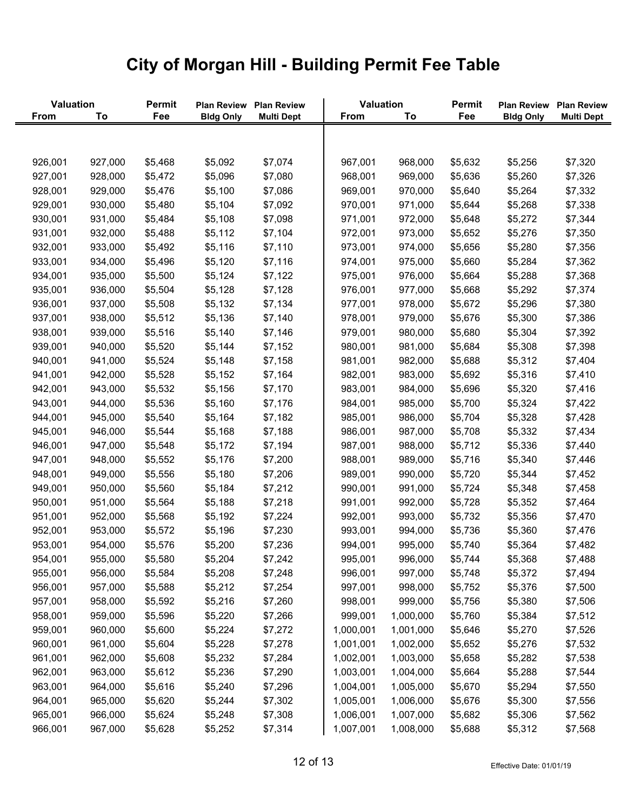|             | Valuation |         |                  | Plan Review Plan Review | Valuation   |           | Permit  | <b>Plan Review</b> | <b>Plan Review</b> |
|-------------|-----------|---------|------------------|-------------------------|-------------|-----------|---------|--------------------|--------------------|
| <b>From</b> | To        | Fee     | <b>Bldg Only</b> | <b>Multi Dept</b>       | <b>From</b> | To        | Fee     | <b>Bldg Only</b>   | <b>Multi Dept</b>  |
|             |           |         |                  |                         |             |           |         |                    |                    |
|             |           |         |                  |                         |             |           |         |                    |                    |
| 926,001     | 927,000   | \$5,468 | \$5,092          | \$7,074                 | 967,001     | 968,000   | \$5,632 | \$5,256            | \$7,320            |
| 927,001     | 928,000   | \$5,472 | \$5,096          | \$7,080                 | 968,001     | 969,000   | \$5,636 | \$5,260            | \$7,326            |
| 928,001     | 929,000   | \$5,476 | \$5,100          | \$7,086                 | 969,001     | 970,000   | \$5,640 | \$5,264            | \$7,332            |
| 929,001     | 930,000   | \$5,480 | \$5,104          | \$7,092                 | 970,001     | 971,000   | \$5,644 | \$5,268            | \$7,338            |
| 930,001     | 931,000   | \$5,484 | \$5,108          | \$7,098                 | 971,001     | 972,000   | \$5,648 | \$5,272            | \$7,344            |
| 931,001     | 932,000   | \$5,488 | \$5,112          | \$7,104                 | 972,001     | 973,000   | \$5,652 | \$5,276            | \$7,350            |
| 932,001     | 933,000   | \$5,492 | \$5,116          | \$7,110                 | 973,001     | 974,000   | \$5,656 | \$5,280            | \$7,356            |
| 933,001     | 934,000   | \$5,496 | \$5,120          | \$7,116                 | 974,001     | 975,000   | \$5,660 | \$5,284            | \$7,362            |
| 934,001     | 935,000   | \$5,500 | \$5,124          | \$7,122                 | 975,001     | 976,000   | \$5,664 | \$5,288            | \$7,368            |
| 935,001     | 936,000   | \$5,504 | \$5,128          | \$7,128                 | 976,001     | 977,000   | \$5,668 | \$5,292            | \$7,374            |
| 936,001     | 937,000   | \$5,508 | \$5,132          | \$7,134                 | 977,001     | 978,000   | \$5,672 | \$5,296            | \$7,380            |
| 937,001     | 938,000   | \$5,512 | \$5,136          | \$7,140                 | 978,001     | 979,000   | \$5,676 | \$5,300            | \$7,386            |
| 938,001     | 939,000   | \$5,516 | \$5,140          | \$7,146                 | 979,001     | 980,000   | \$5,680 | \$5,304            | \$7,392            |
| 939,001     | 940,000   | \$5,520 | \$5,144          | \$7,152                 | 980,001     | 981,000   | \$5,684 | \$5,308            | \$7,398            |
| 940,001     | 941,000   | \$5,524 | \$5,148          | \$7,158                 | 981,001     | 982,000   | \$5,688 | \$5,312            | \$7,404            |
| 941,001     | 942,000   | \$5,528 | \$5,152          | \$7,164                 | 982,001     | 983,000   | \$5,692 | \$5,316            | \$7,410            |
| 942,001     | 943,000   | \$5,532 | \$5,156          | \$7,170                 | 983,001     | 984,000   | \$5,696 | \$5,320            | \$7,416            |
| 943,001     | 944,000   | \$5,536 | \$5,160          | \$7,176                 | 984,001     | 985,000   | \$5,700 | \$5,324            | \$7,422            |
| 944,001     | 945,000   | \$5,540 | \$5,164          | \$7,182                 | 985,001     | 986,000   | \$5,704 | \$5,328            | \$7,428            |
| 945,001     | 946,000   | \$5,544 | \$5,168          | \$7,188                 | 986,001     | 987,000   | \$5,708 | \$5,332            | \$7,434            |
| 946,001     | 947,000   | \$5,548 | \$5,172          | \$7,194                 | 987,001     | 988,000   | \$5,712 | \$5,336            | \$7,440            |
| 947,001     | 948,000   | \$5,552 | \$5,176          | \$7,200                 | 988,001     | 989,000   | \$5,716 | \$5,340            | \$7,446            |
| 948,001     | 949,000   | \$5,556 | \$5,180          | \$7,206                 | 989,001     | 990,000   | \$5,720 | \$5,344            | \$7,452            |
| 949,001     | 950,000   | \$5,560 | \$5,184          | \$7,212                 | 990,001     | 991,000   | \$5,724 | \$5,348            | \$7,458            |
| 950,001     | 951,000   | \$5,564 | \$5,188          | \$7,218                 | 991,001     | 992,000   | \$5,728 | \$5,352            | \$7,464            |
| 951,001     | 952,000   | \$5,568 | \$5,192          | \$7,224                 | 992,001     | 993,000   | \$5,732 | \$5,356            | \$7,470            |
| 952,001     | 953,000   | \$5,572 | \$5,196          | \$7,230                 | 993,001     | 994,000   | \$5,736 | \$5,360            | \$7,476            |
| 953,001     | 954,000   | \$5,576 | \$5,200          | \$7,236                 | 994,001     | 995,000   | \$5,740 | \$5,364            | \$7,482            |
| 954,001     | 955,000   | \$5,580 | \$5,204          | \$7,242                 | 995,001     | 996,000   | \$5,744 | \$5,368            | \$7,488            |
| 955,001     | 956,000   | \$5,584 | \$5,208          | \$7,248                 | 996,001     | 997,000   | \$5,748 | \$5,372            | \$7,494            |
| 956,001     | 957,000   | \$5,588 | \$5,212          | \$7,254                 | 997,001     | 998,000   | \$5,752 | \$5,376            | \$7,500            |
| 957,001     | 958,000   | \$5,592 | \$5,216          | \$7,260                 | 998,001     | 999,000   | \$5,756 | \$5,380            | \$7,506            |
| 958,001     | 959,000   | \$5,596 | \$5,220          | \$7,266                 | 999,001     | 1,000,000 | \$5,760 | \$5,384            | \$7,512            |
| 959,001     | 960,000   | \$5,600 | \$5,224          | \$7,272                 | 1,000,001   | 1,001,000 | \$5,646 | \$5,270            | \$7,526            |
| 960,001     | 961,000   | \$5,604 | \$5,228          | \$7,278                 | 1,001,001   | 1,002,000 | \$5,652 | \$5,276            | \$7,532            |
| 961,001     | 962,000   | \$5,608 | \$5,232          | \$7,284                 | 1,002,001   | 1,003,000 | \$5,658 | \$5,282            | \$7,538            |
| 962,001     | 963,000   | \$5,612 | \$5,236          | \$7,290                 | 1,003,001   | 1,004,000 | \$5,664 | \$5,288            | \$7,544            |
| 963,001     | 964,000   | \$5,616 | \$5,240          | \$7,296                 | 1,004,001   | 1,005,000 | \$5,670 | \$5,294            | \$7,550            |
| 964,001     | 965,000   | \$5,620 | \$5,244          | \$7,302                 | 1,005,001   | 1,006,000 | \$5,676 | \$5,300            | \$7,556            |
| 965,001     | 966,000   | \$5,624 | \$5,248          | \$7,308                 | 1,006,001   | 1,007,000 | \$5,682 | \$5,306            | \$7,562            |
| 966,001     | 967,000   | \$5,628 | \$5,252          | \$7,314                 | 1,007,001   | 1,008,000 | \$5,688 | \$5,312            | \$7,568            |